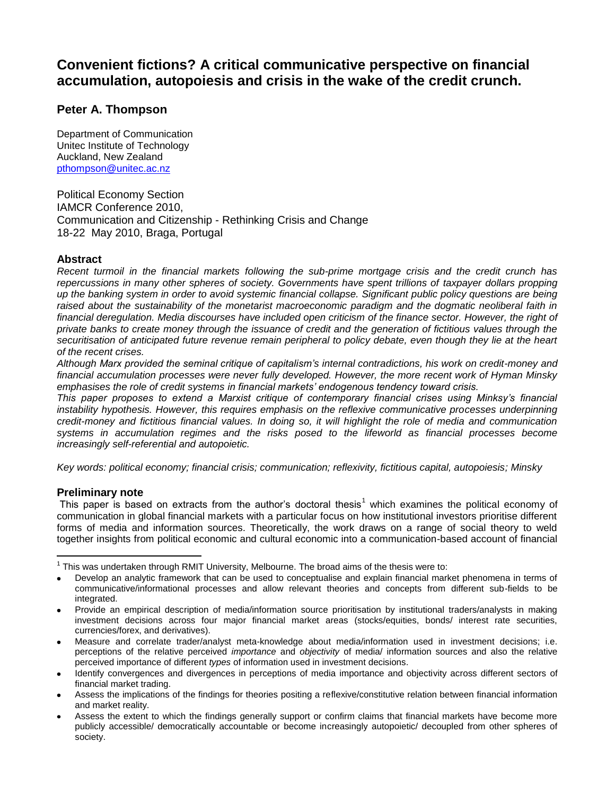# **Convenient fictions? A critical communicative perspective on financial accumulation, autopoiesis and crisis in the wake of the credit crunch.**

## **Peter A. Thompson**

Department of Communication Unitec Institute of Technology Auckland, New Zealand [pthompson@unitec.ac.nz](mailto:pthompson@unitec.ac.nz)

Political Economy Section IAMCR Conference 2010, Communication and Citizenship - Rethinking Crisis and Change 18-22 May 2010, Braga, Portugal

### **Abstract**

*Recent turmoil in the financial markets following the sub-prime mortgage crisis and the credit crunch has repercussions in many other spheres of society. Governments have spent trillions of taxpayer dollars propping up the banking system in order to avoid systemic financial collapse. Significant public policy questions are being raised about the sustainability of the monetarist macroeconomic paradigm and the dogmatic neoliberal faith in financial deregulation. Media discourses have included open criticism of the finance sector. However, the right of private banks to create money through the issuance of credit and the generation of fictitious values through the securitisation of anticipated future revenue remain peripheral to policy debate, even though they lie at the heart of the recent crises.*

*Although Marx provided the seminal critique of capitalism's internal contradictions, his work on credit-money and financial accumulation processes were never fully developed. However, the more recent work of Hyman Minsky emphasises the role of credit systems in financial markets' endogenous tendency toward crisis.* 

*This paper proposes to extend a Marxist critique of contemporary financial crises using Minksy's financial instability hypothesis. However, this requires emphasis on the reflexive communicative processes underpinning credit-money and fictitious financial values. In doing so, it will highlight the role of media and communication systems in accumulation regimes and the risks posed to the lifeworld as financial processes become increasingly self-referential and autopoietic.* 

*Key words: political economy; financial crisis; communication; reflexivity, fictitious capital, autopoiesis; Minsky* 

### **Preliminary note**

 $\overline{a}$ 

This paper is based on extracts from the author's doctoral thesis<sup>1</sup> which examines the political economy of communication in global financial markets with a particular focus on how institutional investors prioritise different forms of media and information sources. Theoretically, the work draws on a range of social theory to weld together insights from political economic and cultural economic into a communication-based account of financial

- Develop an analytic framework that can be used to conceptualise and explain financial market phenomena in terms of communicative/informational processes and allow relevant theories and concepts from different sub-fields to be integrated.
- Provide an empirical description of media/information source prioritisation by institutional traders/analysts in making investment decisions across four major financial market areas (stocks/equities, bonds/ interest rate securities, currencies/forex, and derivatives).
- Measure and correlate trader/analyst meta-knowledge about media/information used in investment decisions; i.e. perceptions of the relative perceived *importance* and *objectivity* of media/ information sources and also the relative perceived importance of different *types* of information used in investment decisions.
- Identify convergences and divergences in perceptions of media importance and objectivity across different sectors of  $\bullet$ financial market trading.
- Assess the implications of the findings for theories positing a reflexive/constitutive relation between financial information and market reality.
- Assess the extent to which the findings generally support or confirm claims that financial markets have become more publicly accessible/ democratically accountable or become increasingly autopoietic/ decoupled from other spheres of society.

 $1$  This was undertaken through RMIT University, Melbourne. The broad aims of the thesis were to: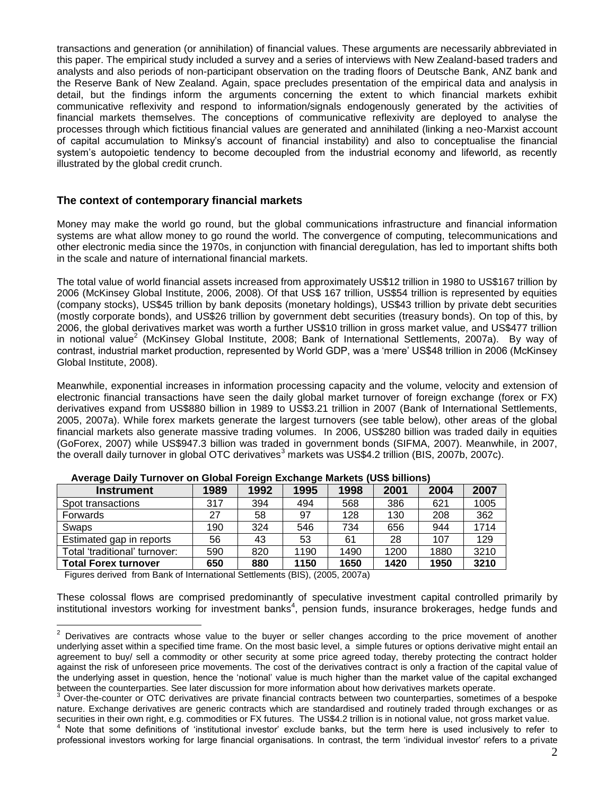transactions and generation (or annihilation) of financial values. These arguments are necessarily abbreviated in this paper. The empirical study included a survey and a series of interviews with New Zealand-based traders and analysts and also periods of non-participant observation on the trading floors of Deutsche Bank, ANZ bank and the Reserve Bank of New Zealand. Again, space precludes presentation of the empirical data and analysis in detail, but the findings inform the arguments concerning the extent to which financial markets exhibit communicative reflexivity and respond to information/signals endogenously generated by the activities of financial markets themselves. The conceptions of communicative reflexivity are deployed to analyse the processes through which fictitious financial values are generated and annihilated (linking a neo-Marxist account of capital accumulation to Minksy's account of financial instability) and also to conceptualise the financial system's autopoietic tendency to become decoupled from the industrial economy and lifeworld, as recently illustrated by the global credit crunch.

### **The context of contemporary financial markets**

Money may make the world go round, but the global communications infrastructure and financial information systems are what allow money to go round the world. The convergence of computing, telecommunications and other electronic media since the 1970s, in conjunction with financial deregulation, has led to important shifts both in the scale and nature of international financial markets.

The total value of world financial assets increased from approximately US\$12 trillion in 1980 to US\$167 trillion by 2006 (McKinsey Global Institute, 2006, 2008). Of that US\$ 167 trillion, US\$54 trillion is represented by equities (company stocks), US\$45 trillion by bank deposits (monetary holdings), US\$43 trillion by private debt securities (mostly corporate bonds), and US\$26 trillion by government debt securities (treasury bonds). On top of this, by 2006, the global derivatives market was worth a further US\$10 trillion in gross market value, and US\$477 trillion in notional value<sup>2</sup> (McKinsey Global Institute, 2008; Bank of International Settlements, 2007a). By way of contrast, industrial market production, represented by World GDP, was a 'mere' US\$48 trillion in 2006 (McKinsey Global Institute, 2008).

Meanwhile, exponential increases in information processing capacity and the volume, velocity and extension of electronic financial transactions have seen the daily global market turnover of foreign exchange (forex or FX) derivatives expand from US\$880 billion in 1989 to US\$3.21 trillion in 2007 (Bank of International Settlements, 2005, 2007a). While forex markets generate the largest turnovers (see table below), other areas of the global financial markets also generate massive trading volumes. In 2006, US\$280 billion was traded daily in equities (GoForex, 2007) while US\$947.3 billion was traded in government bonds (SIFMA, 2007). Meanwhile, in 2007, the overall daily turnover in global OTC derivatives<sup>3</sup> markets was US\$4.2 trillion (BIS, 2007b, 2007c).

| <b>Instrument</b>             | 1989 | 1992 | 1995 | 1998 | 2001 | 2004 | 2007 |
|-------------------------------|------|------|------|------|------|------|------|
| Spot transactions             | 317  | 394  | 494  | 568  | 386  | 621  | 1005 |
| Forwards                      | 27   | 58   | 97   | 128  | 130  | 208  | 362  |
| Swaps                         | 190  | 324  | 546  | 734  | 656  | 944  | 1714 |
| Estimated gap in reports      | 56   | 43   | 53   | 61   | 28   | 107  | 129  |
| Total 'traditional' turnover: | 590  | 820  | 1190 | 1490 | 1200 | 1880 | 3210 |
| <b>Total Forex turnover</b>   | 650  | 880  | 1150 | 1650 | 1420 | 1950 | 3210 |

|  |  | Average Daily Turnover on Global Foreign Exchange Markets (US\$ billions) |  |  |  |  |
|--|--|---------------------------------------------------------------------------|--|--|--|--|
|--|--|---------------------------------------------------------------------------|--|--|--|--|

Figures derived from Bank of International Settlements (BIS), (2005, 2007a)

 $\overline{a}$ 

These colossal flows are comprised predominantly of speculative investment capital controlled primarily by institutional investors working for investment banks<sup>4</sup>, pension funds, insurance brokerages, hedge funds and

 $2$  Derivatives are contracts whose value to the buyer or seller changes according to the price movement of another underlying asset within a specified time frame. On the most basic level, a simple futures or options derivative might entail an agreement to buy/ sell a commodity or other security at some price agreed today, thereby protecting the contract holder against the risk of unforeseen price movements. The cost of the derivatives contract is only a fraction of the capital value of the underlying asset in question, hence the 'notional' value is much higher than the market value of the capital exchanged between the counterparties. See later discussion for more information about how derivatives markets operate.

 $3$  Over-the-counter or OTC derivatives are private financial contracts between two counterparties, sometimes of a bespoke nature. Exchange derivatives are generic contracts which are standardised and routinely traded through exchanges or as securities in their own right, e.g. commodities or FX futures. The US\$4.2 trillion is in notional value, not gross market value.

Note that some definitions of 'institutional investor' exclude banks, but the term here is used inclusively to refer to professional investors working for large financial organisations. In contrast, the term 'individual investor' refers to a private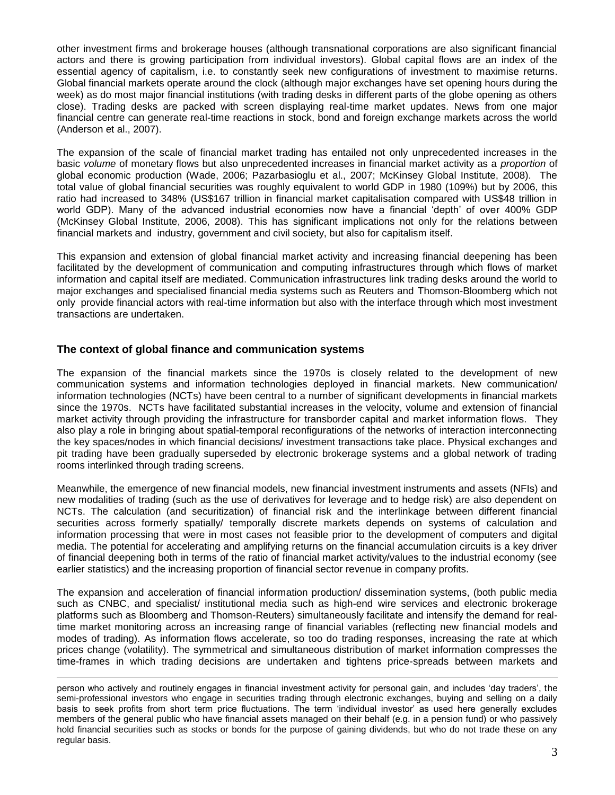other investment firms and brokerage houses (although transnational corporations are also significant financial actors and there is growing participation from individual investors). Global capital flows are an index of the essential agency of capitalism, i.e. to constantly seek new configurations of investment to maximise returns. Global financial markets operate around the clock (although major exchanges have set opening hours during the week) as do most major financial institutions (with trading desks in different parts of the globe opening as others close). Trading desks are packed with screen displaying real-time market updates. News from one major financial centre can generate real-time reactions in stock, bond and foreign exchange markets across the world (Anderson et al., 2007).

The expansion of the scale of financial market trading has entailed not only unprecedented increases in the basic *volume* of monetary flows but also unprecedented increases in financial market activity as a *proportion* of global economic production (Wade, 2006; Pazarbasioglu et al., 2007; McKinsey Global Institute, 2008). The total value of global financial securities was roughly equivalent to world GDP in 1980 (109%) but by 2006, this ratio had increased to 348% (US\$167 trillion in financial market capitalisation compared with US\$48 trillion in world GDP). Many of the advanced industrial economies now have a financial 'depth' of over 400% GDP (McKinsey Global Institute, 2006, 2008). This has significant implications not only for the relations between financial markets and industry, government and civil society, but also for capitalism itself.

This expansion and extension of global financial market activity and increasing financial deepening has been facilitated by the development of communication and computing infrastructures through which flows of market information and capital itself are mediated. Communication infrastructures link trading desks around the world to major exchanges and specialised financial media systems such as Reuters and Thomson-Bloomberg which not only provide financial actors with real-time information but also with the interface through which most investment transactions are undertaken.

### **The context of global finance and communication systems**

 $\overline{a}$ 

The expansion of the financial markets since the 1970s is closely related to the development of new communication systems and information technologies deployed in financial markets. New communication/ information technologies (NCTs) have been central to a number of significant developments in financial markets since the 1970s. NCTs have facilitated substantial increases in the velocity, volume and extension of financial market activity through providing the infrastructure for transborder capital and market information flows. They also play a role in bringing about spatial-temporal reconfigurations of the networks of interaction interconnecting the key spaces/nodes in which financial decisions/ investment transactions take place. Physical exchanges and pit trading have been gradually superseded by electronic brokerage systems and a global network of trading rooms interlinked through trading screens.

Meanwhile, the emergence of new financial models, new financial investment instruments and assets (NFIs) and new modalities of trading (such as the use of derivatives for leverage and to hedge risk) are also dependent on NCTs. The calculation (and securitization) of financial risk and the interlinkage between different financial securities across formerly spatially/ temporally discrete markets depends on systems of calculation and information processing that were in most cases not feasible prior to the development of computers and digital media. The potential for accelerating and amplifying returns on the financial accumulation circuits is a key driver of financial deepening both in terms of the ratio of financial market activity/values to the industrial economy (see earlier statistics) and the increasing proportion of financial sector revenue in company profits.

The expansion and acceleration of financial information production/ dissemination systems, (both public media such as CNBC, and specialist/ institutional media such as high-end wire services and electronic brokerage platforms such as Bloomberg and Thomson-Reuters) simultaneously facilitate and intensify the demand for realtime market monitoring across an increasing range of financial variables (reflecting new financial models and modes of trading). As information flows accelerate, so too do trading responses, increasing the rate at which prices change (volatility). The symmetrical and simultaneous distribution of market information compresses the time-frames in which trading decisions are undertaken and tightens price-spreads between markets and

person who actively and routinely engages in financial investment activity for personal gain, and includes 'day traders', the semi-professional investors who engage in securities trading through electronic exchanges, buying and selling on a daily basis to seek profits from short term price fluctuations. The term 'individual investor' as used here generally excludes members of the general public who have financial assets managed on their behalf (e.g. in a pension fund) or who passively hold financial securities such as stocks or bonds for the purpose of gaining dividends, but who do not trade these on any regular basis.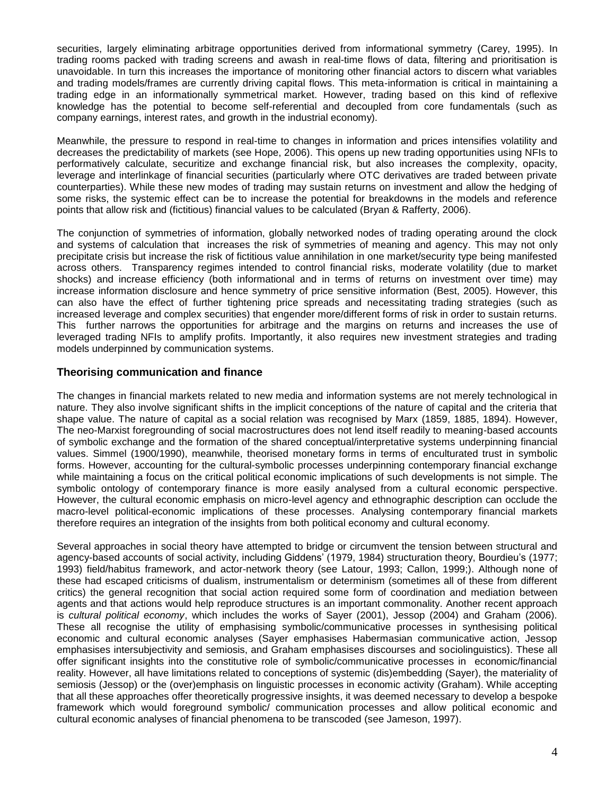securities, largely eliminating arbitrage opportunities derived from informational symmetry (Carey, 1995). In trading rooms packed with trading screens and awash in real-time flows of data, filtering and prioritisation is unavoidable. In turn this increases the importance of monitoring other financial actors to discern what variables and trading models/frames are currently driving capital flows. This meta-information is critical in maintaining a trading edge in an informationally symmetrical market. However, trading based on this kind of reflexive knowledge has the potential to become self-referential and decoupled from core fundamentals (such as company earnings, interest rates, and growth in the industrial economy).

Meanwhile, the pressure to respond in real-time to changes in information and prices intensifies volatility and decreases the predictability of markets (see Hope, 2006). This opens up new trading opportunities using NFIs to performatively calculate, securitize and exchange financial risk, but also increases the complexity, opacity, leverage and interlinkage of financial securities (particularly where OTC derivatives are traded between private counterparties). While these new modes of trading may sustain returns on investment and allow the hedging of some risks, the systemic effect can be to increase the potential for breakdowns in the models and reference points that allow risk and (fictitious) financial values to be calculated (Bryan & Rafferty, 2006).

The conjunction of symmetries of information, globally networked nodes of trading operating around the clock and systems of calculation that increases the risk of symmetries of meaning and agency. This may not only precipitate crisis but increase the risk of fictitious value annihilation in one market/security type being manifested across others. Transparency regimes intended to control financial risks, moderate volatility (due to market shocks) and increase efficiency (both informational and in terms of returns on investment over time) may increase information disclosure and hence symmetry of price sensitive information (Best, 2005). However, this can also have the effect of further tightening price spreads and necessitating trading strategies (such as increased leverage and complex securities) that engender more/different forms of risk in order to sustain returns. This further narrows the opportunities for arbitrage and the margins on returns and increases the use of leveraged trading NFIs to amplify profits. Importantly, it also requires new investment strategies and trading models underpinned by communication systems.

### **Theorising communication and finance**

The changes in financial markets related to new media and information systems are not merely technological in nature. They also involve significant shifts in the implicit conceptions of the nature of capital and the criteria that shape value. The nature of capital as a social relation was recognised by Marx (1859, 1885, 1894). However, The neo-Marxist foregrounding of social macrostructures does not lend itself readily to meaning-based accounts of symbolic exchange and the formation of the shared conceptual/interpretative systems underpinning financial values. Simmel (1900/1990), meanwhile, theorised monetary forms in terms of enculturated trust in symbolic forms. However, accounting for the cultural-symbolic processes underpinning contemporary financial exchange while maintaining a focus on the critical political economic implications of such developments is not simple. The symbolic ontology of contemporary finance is more easily analysed from a cultural economic perspective. However, the cultural economic emphasis on micro-level agency and ethnographic description can occlude the macro-level political-economic implications of these processes. Analysing contemporary financial markets therefore requires an integration of the insights from both political economy and cultural economy.

Several approaches in social theory have attempted to bridge or circumvent the tension between structural and agency-based accounts of social activity, including Giddens' (1979, 1984) structuration theory, Bourdieu's (1977; 1993) field/habitus framework, and actor-network theory (see Latour, 1993; Callon, 1999;). Although none of these had escaped criticisms of dualism, instrumentalism or determinism (sometimes all of these from different critics) the general recognition that social action required some form of coordination and mediation between agents and that actions would help reproduce structures is an important commonality. Another recent approach is *cultural political economy*, which includes the works of Sayer (2001), Jessop (2004) and Graham (2006). These all recognise the utility of emphasising symbolic/communicative processes in synthesising political economic and cultural economic analyses (Sayer emphasises Habermasian communicative action, Jessop emphasises intersubjectivity and semiosis, and Graham emphasises discourses and sociolinguistics). These all offer significant insights into the constitutive role of symbolic/communicative processes in economic/financial reality. However, all have limitations related to conceptions of systemic (dis)embedding (Sayer), the materiality of semiosis (Jessop) or the (over)emphasis on linguistic processes in economic activity (Graham). While accepting that all these approaches offer theoretically progressive insights, it was deemed necessary to develop a bespoke framework which would foreground symbolic/ communication processes and allow political economic and cultural economic analyses of financial phenomena to be transcoded (see Jameson, 1997).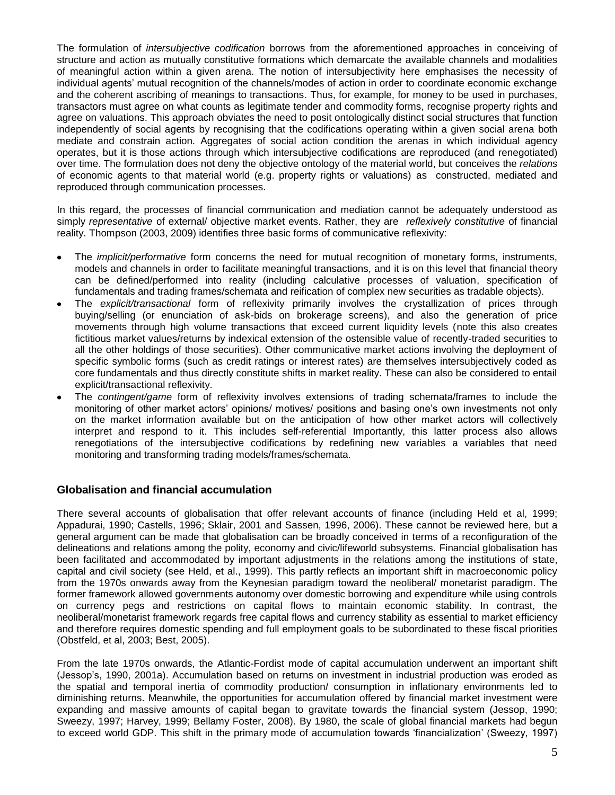The formulation of *intersubjective codification* borrows from the aforementioned approaches in conceiving of structure and action as mutually constitutive formations which demarcate the available channels and modalities of meaningful action within a given arena. The notion of intersubjectivity here emphasises the necessity of individual agents' mutual recognition of the channels/modes of action in order to coordinate economic exchange and the coherent ascribing of meanings to transactions. Thus, for example, for money to be used in purchases, transactors must agree on what counts as legitimate tender and commodity forms, recognise property rights and agree on valuations. This approach obviates the need to posit ontologically distinct social structures that function independently of social agents by recognising that the codifications operating within a given social arena both mediate and constrain action. Aggregates of social action condition the arenas in which individual agency operates, but it is those actions through which intersubjective codifications are reproduced (and renegotiated) over time. The formulation does not deny the objective ontology of the material world, but conceives the *relations*  of economic agents to that material world (e.g. property rights or valuations) as constructed, mediated and reproduced through communication processes.

In this regard, the processes of financial communication and mediation cannot be adequately understood as simply *representative* of external/ objective market events. Rather, they are *reflexively constitutive* of financial reality. Thompson (2003, 2009) identifies three basic forms of communicative reflexivity:

- The *implicit/performative* form concerns the need for mutual recognition of monetary forms, instruments, models and channels in order to facilitate meaningful transactions, and it is on this level that financial theory can be defined/performed into reality (including calculative processes of valuation, specification of fundamentals and trading frames/schemata and reification of complex new securities as tradable objects).
- The *explicit/transactional* form of reflexivity primarily involves the crystallization of prices through buying/selling (or enunciation of ask-bids on brokerage screens), and also the generation of price movements through high volume transactions that exceed current liquidity levels (note this also creates fictitious market values/returns by indexical extension of the ostensible value of recently-traded securities to all the other holdings of those securities). Other communicative market actions involving the deployment of specific symbolic forms (such as credit ratings or interest rates) are themselves intersubjectively coded as core fundamentals and thus directly constitute shifts in market reality. These can also be considered to entail explicit/transactional reflexivity.
- The *contingent/game* form of reflexivity involves extensions of trading schemata/frames to include the monitoring of other market actors' opinions/ motives/ positions and basing one's own investments not only on the market information available but on the anticipation of how other market actors will collectively interpret and respond to it. This includes self-referential Importantly, this latter process also allows renegotiations of the intersubjective codifications by redefining new variables a variables that need monitoring and transforming trading models/frames/schemata.

### **Globalisation and financial accumulation**

There several accounts of globalisation that offer relevant accounts of finance (including Held et al, 1999; Appadurai, 1990; Castells, 1996; Sklair, 2001 and Sassen, 1996, 2006). These cannot be reviewed here, but a general argument can be made that globalisation can be broadly conceived in terms of a reconfiguration of the delineations and relations among the polity, economy and civic/lifeworld subsystems. Financial globalisation has been facilitated and accommodated by important adjustments in the relations among the institutions of state, capital and civil society (see Held, et al., 1999). This partly reflects an important shift in macroeconomic policy from the 1970s onwards away from the Keynesian paradigm toward the neoliberal/ monetarist paradigm. The former framework allowed governments autonomy over domestic borrowing and expenditure while using controls on currency pegs and restrictions on capital flows to maintain economic stability. In contrast, the neoliberal/monetarist framework regards free capital flows and currency stability as essential to market efficiency and therefore requires domestic spending and full employment goals to be subordinated to these fiscal priorities (Obstfeld, et al, 2003; Best, 2005).

From the late 1970s onwards, the Atlantic-Fordist mode of capital accumulation underwent an important shift (Jessop's, 1990, 2001a). Accumulation based on returns on investment in industrial production was eroded as the spatial and temporal inertia of commodity production/ consumption in inflationary environments led to diminishing returns. Meanwhile, the opportunities for accumulation offered by financial market investment were expanding and massive amounts of capital began to gravitate towards the financial system (Jessop, 1990; Sweezy, 1997; Harvey, 1999; Bellamy Foster, 2008). By 1980, the scale of global financial markets had begun to exceed world GDP. This shift in the primary mode of accumulation towards 'financialization' (Sweezy, 1997)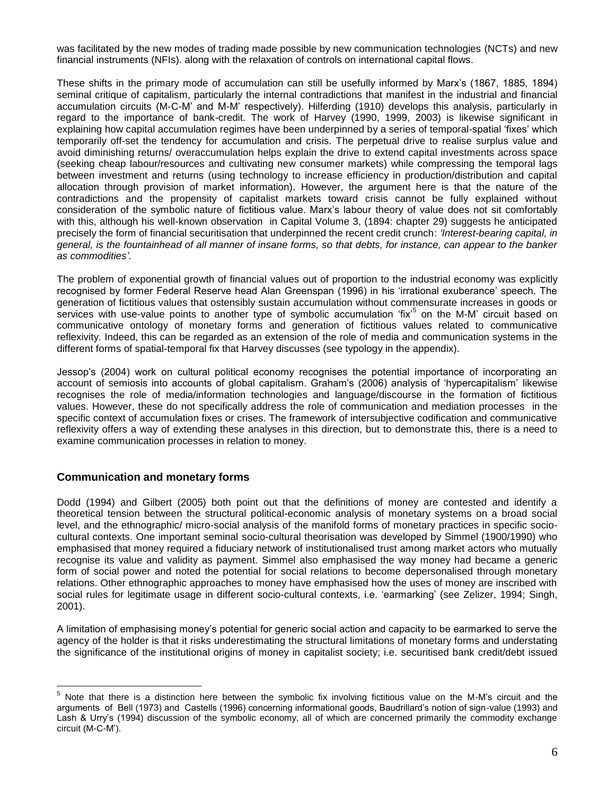was facilitated by the new modes of trading made possible by new communication technologies (NCTs) and new financial instruments (NFIs). along with the relaxation of controls on international capital flows.

These shifts in the primary mode of accumulation can still be usefully informed by Marx's (1867, 1885, 1894) seminal critique of capitalism, particularly the internal contradictions that manifest in the industrial and financial accumulation circuits (M-C-M' and M-M' respectively). Hilferding (1910) develops this analysis, particularly in regard to the importance of bank-credit. The work of Harvey (1990, 1999, 2003) is likewise significant in explaining how capital accumulation regimes have been underpinned by a series of temporal-spatial 'fixes' which temporarily off-set the tendency for accumulation and crisis. The perpetual drive to realise surplus value and avoid diminishing returns/ overaccumulation helps explain the drive to extend capital investments across space (seeking cheap labour/resources and cultivating new consumer markets) while compressing the temporal lags between investment and returns (using technology to increase efficiency in production/distribution and capital allocation through provision of market information). However, the argument here is that the nature of the contradictions and the propensity of capitalist markets toward crisis cannot be fully explained without consideration of the symbolic nature of fictitious value. Marx's labour theory of value does not sit comfortably with this, although his well-known observation in Capital Volume 3, (1894: chapter 29) suggests he anticipated precisely the form of financial securitisation that underpinned the recent credit crunch: *'Interest-bearing capital, in general, is the fountainhead of all manner of insane forms, so that debts, for instance, can appear to the banker as commodities'.* 

The problem of exponential growth of financial values out of proportion to the industrial economy was explicitly recognised by former Federal Reserve head Alan Greenspan (1996) in his 'irrational exuberance' speech. The generation of fictitious values that ostensibly sustain accumulation without commensurate increases in goods or services with use-value points to another type of symbolic accumulation 'fix'<sup>5</sup> on the M-M' circuit based on communicative ontology of monetary forms and generation of fictitious values related to communicative reflexivity. Indeed, this can be regarded as an extension of the role of media and communication systems in the different forms of spatial-temporal fix that Harvey discusses (see typology in the appendix).

Jessop's (2004) work on cultural political economy recognises the potential importance of incorporating an account of semiosis into accounts of global capitalism. Graham's (2006) analysis of 'hypercapitalism' likewise recognises the role of media/information technologies and language/discourse in the formation of fictitious values. However, these do not specifically address the role of communication and mediation processes in the specific context of accumulation fixes or crises. The framework of intersubjective codification and communicative reflexivity offers a way of extending these analyses in this direction, but to demonstrate this, there is a need to examine communication processes in relation to money.

### **Communication and monetary forms**

 $\overline{a}$ 

Dodd (1994) and Gilbert (2005) both point out that the definitions of money are contested and identify a theoretical tension between the structural political-economic analysis of monetary systems on a broad social level, and the ethnographic/ micro-social analysis of the manifold forms of monetary practices in specific sociocultural contexts. One important seminal socio-cultural theorisation was developed by Simmel (1900/1990) who emphasised that money required a fiduciary network of institutionalised trust among market actors who mutually recognise its value and validity as payment. Simmel also emphasised the way money had became a generic form of social power and noted the potential for social relations to become depersonalised through monetary relations. Other ethnographic approaches to money have emphasised how the uses of money are inscribed with social rules for legitimate usage in different socio-cultural contexts, i.e. 'earmarking' (see Zelizer, 1994; Singh, 2001).

A limitation of emphasising money's potential for generic social action and capacity to be earmarked to serve the agency of the holder is that it risks underestimating the structural limitations of monetary forms and understating the significance of the institutional origins of money in capitalist society; i.e. securitised bank credit/debt issued

 $5$  Note that there is a distinction here between the symbolic fix involving fictitious value on the M-M's circuit and the arguments of Bell (1973) and Castells (1996) concerning informational goods, Baudrillard's notion of sign-value (1993) and Lash & Urry's (1994) discussion of the symbolic economy, all of which are concerned primarily the commodity exchange circuit (M-C-M').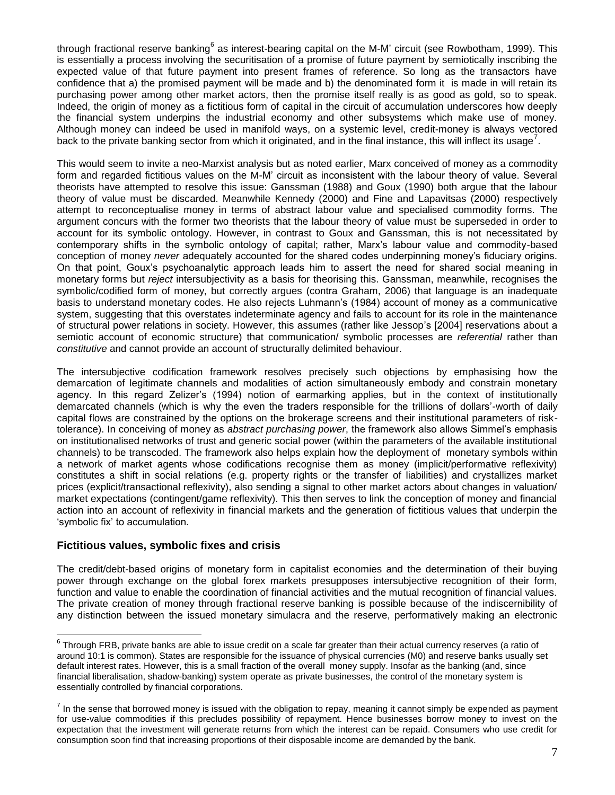through fractional reserve banking<sup>6</sup> as interest-bearing capital on the M-M' circuit (see Rowbotham, 1999). This is essentially a process involving the securitisation of a promise of future payment by semiotically inscribing the expected value of that future payment into present frames of reference. So long as the transactors have confidence that a) the promised payment will be made and b) the denominated form it is made in will retain its purchasing power among other market actors, then the promise itself really is as good as gold, so to speak. Indeed, the origin of money as a fictitious form of capital in the circuit of accumulation underscores how deeply the financial system underpins the industrial economy and other subsystems which make use of money. Although money can indeed be used in manifold ways, on a systemic level, credit-money is always vectored back to the private banking sector from which it originated, and in the final instance, this will inflect its usage<sup>7</sup>.

This would seem to invite a neo-Marxist analysis but as noted earlier, Marx conceived of money as a commodity form and regarded fictitious values on the M-M' circuit as inconsistent with the labour theory of value. Several theorists have attempted to resolve this issue: Ganssman (1988) and Goux (1990) both argue that the labour theory of value must be discarded. Meanwhile Kennedy (2000) and Fine and Lapavitsas (2000) respectively attempt to reconceptualise money in terms of abstract labour value and specialised commodity forms. The argument concurs with the former two theorists that the labour theory of value must be superseded in order to account for its symbolic ontology. However, in contrast to Goux and Ganssman, this is not necessitated by contemporary shifts in the symbolic ontology of capital; rather, Marx's labour value and commodity-based conception of money *never* adequately accounted for the shared codes underpinning money's fiduciary origins. On that point, Goux's psychoanalytic approach leads him to assert the need for shared social meaning in monetary forms but *reject* intersubjectivity as a basis for theorising this. Ganssman, meanwhile, recognises the symbolic/codified form of money, but correctly argues (contra Graham, 2006) that language is an inadequate basis to understand monetary codes. He also rejects Luhmann's (1984) account of money as a communicative system, suggesting that this overstates indeterminate agency and fails to account for its role in the maintenance of structural power relations in society. However, this assumes (rather like Jessop's [2004] reservations about a semiotic account of economic structure) that communication/ symbolic processes are *referential* rather than *constitutive* and cannot provide an account of structurally delimited behaviour.

The intersubjective codification framework resolves precisely such objections by emphasising how the demarcation of legitimate channels and modalities of action simultaneously embody and constrain monetary agency. In this regard Zelizer's (1994) notion of earmarking applies, but in the context of institutionally demarcated channels (which is why the even the traders responsible for the trillions of dollars'-worth of daily capital flows are constrained by the options on the brokerage screens and their institutional parameters of risktolerance). In conceiving of money as *abstract purchasing power*, the framework also allows Simmel's emphasis on institutionalised networks of trust and generic social power (within the parameters of the available institutional channels) to be transcoded. The framework also helps explain how the deployment of monetary symbols within a network of market agents whose codifications recognise them as money (implicit/performative reflexivity) constitutes a shift in social relations (e.g. property rights or the transfer of liabilities) and crystallizes market prices (explicit/transactional reflexivity), also sending a signal to other market actors about changes in valuation/ market expectations (contingent/game reflexivity). This then serves to link the conception of money and financial action into an account of reflexivity in financial markets and the generation of fictitious values that underpin the 'symbolic fix' to accumulation.

### **Fictitious values, symbolic fixes and crisis**

 $\overline{a}$ 

The credit/debt-based origins of monetary form in capitalist economies and the determination of their buying power through exchange on the global forex markets presupposes intersubjective recognition of their form, function and value to enable the coordination of financial activities and the mutual recognition of financial values. The private creation of money through fractional reserve banking is possible because of the indiscernibility of any distinction between the issued monetary simulacra and the reserve, performatively making an electronic

 $^6$  Through FRB, private banks are able to issue credit on a scale far greater than their actual currency reserves (a ratio of around 10:1 is common). States are responsible for the issuance of physical currencies (M0) and reserve banks usually set default interest rates. However, this is a small fraction of the overall money supply. Insofar as the banking (and, since financial liberalisation, shadow-banking) system operate as private businesses, the control of the monetary system is essentially controlled by financial corporations.

 $^7$  In the sense that borrowed money is issued with the obligation to repay, meaning it cannot simply be expended as payment for use-value commodities if this precludes possibility of repayment. Hence businesses borrow money to invest on the expectation that the investment will generate returns from which the interest can be repaid. Consumers who use credit for consumption soon find that increasing proportions of their disposable income are demanded by the bank.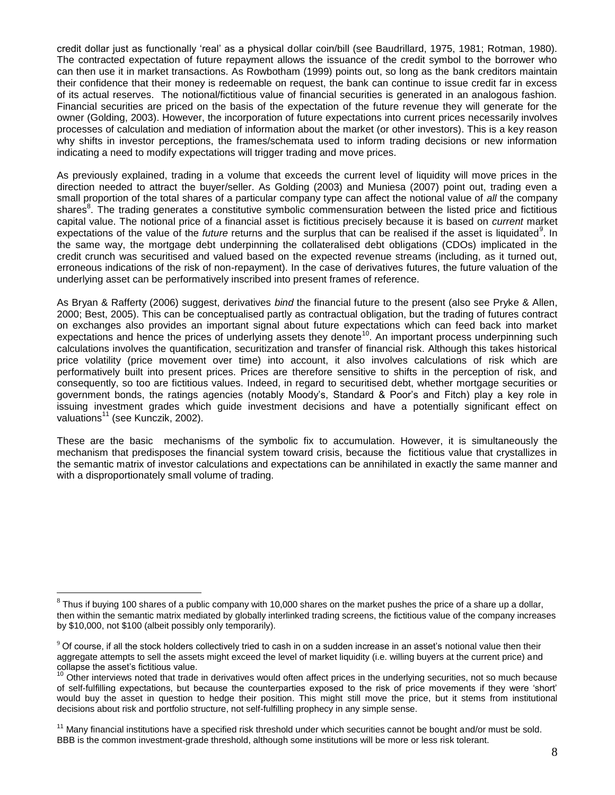credit dollar just as functionally 'real' as a physical dollar coin/bill (see Baudrillard, 1975, 1981; Rotman, 1980). The contracted expectation of future repayment allows the issuance of the credit symbol to the borrower who can then use it in market transactions. As Rowbotham (1999) points out, so long as the bank creditors maintain their confidence that their money is redeemable on request, the bank can continue to issue credit far in excess of its actual reserves. The notional/fictitious value of financial securities is generated in an analogous fashion. Financial securities are priced on the basis of the expectation of the future revenue they will generate for the owner (Golding, 2003). However, the incorporation of future expectations into current prices necessarily involves processes of calculation and mediation of information about the market (or other investors). This is a key reason why shifts in investor perceptions, the frames/schemata used to inform trading decisions or new information indicating a need to modify expectations will trigger trading and move prices.

As previously explained, trading in a volume that exceeds the current level of liquidity will move prices in the direction needed to attract the buyer/seller. As Golding (2003) and Muniesa (2007) point out, trading even a small proportion of the total shares of a particular company type can affect the notional value of *all* the company shares<sup>8</sup>. The trading generates a constitutive symbolic commensuration between the listed price and fictitious capital value. The notional price of a financial asset is fictitious precisely because it is based on *current* market expectations of the value of the *future* returns and the surplus that can be realised if the asset is liquidated<sup>9</sup>. In the same way, the mortgage debt underpinning the collateralised debt obligations (CDOs) implicated in the credit crunch was securitised and valued based on the expected revenue streams (including, as it turned out, erroneous indications of the risk of non-repayment). In the case of derivatives futures, the future valuation of the underlying asset can be performatively inscribed into present frames of reference.

As Bryan & Rafferty (2006) suggest, derivatives *bind* the financial future to the present (also see Pryke & Allen, 2000; Best, 2005). This can be conceptualised partly as contractual obligation, but the trading of futures contract on exchanges also provides an important signal about future expectations which can feed back into market expectations and hence the prices of underlying assets they denote<sup>10</sup>. An important process underpinning such calculations involves the quantification, securitization and transfer of financial risk. Although this takes historical price volatility (price movement over time) into account, it also involves calculations of risk which are performatively built into present prices. Prices are therefore sensitive to shifts in the perception of risk, and consequently, so too are fictitious values. Indeed, in regard to securitised debt, whether mortgage securities or government bonds, the ratings agencies (notably Moody's, Standard & Poor's and Fitch) play a key role in issuing investment grades which guide investment decisions and have a potentially significant effect on valuations<sup>11</sup> (see Kunczik, 2002).

These are the basic mechanisms of the symbolic fix to accumulation. However, it is simultaneously the mechanism that predisposes the financial system toward crisis, because the fictitious value that crystallizes in the semantic matrix of investor calculations and expectations can be annihilated in exactly the same manner and with a disproportionately small volume of trading.

 $^8$  Thus if buying 100 shares of a public company with 10,000 shares on the market pushes the price of a share up a dollar, then within the semantic matrix mediated by globally interlinked trading screens, the fictitious value of the company increases by \$10,000, not \$100 (albeit possibly only temporarily).

 $9$  Of course, if all the stock holders collectively tried to cash in on a sudden increase in an asset's notional value then their aggregate attempts to sell the assets might exceed the level of market liquidity (i.e. willing buyers at the current price) and collapse the asset's fictitious value.

<sup>10</sup> Other interviews noted that trade in derivatives would often affect prices in the underlying securities, not so much because of self-fulfilling expectations, but because the counterparties exposed to the risk of price movements if they were 'short' would buy the asset in question to hedge their position. This might still move the price, but it stems from institutional decisions about risk and portfolio structure, not self-fulfilling prophecy in any simple sense.

 $11$  Many financial institutions have a specified risk threshold under which securities cannot be bought and/or must be sold. BBB is the common investment-grade threshold, although some institutions will be more or less risk tolerant.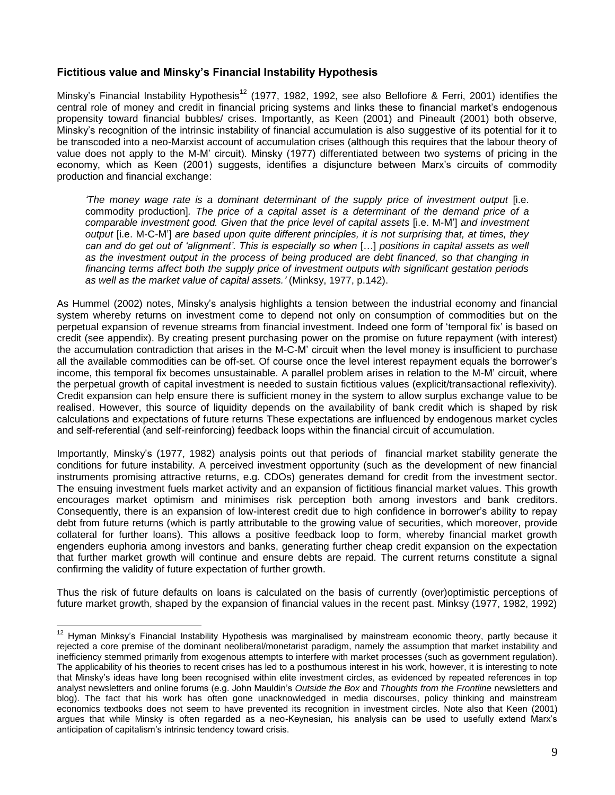### **Fictitious value and Minsky's Financial Instability Hypothesis**

Minsky's Financial Instability Hypothesis<sup>12</sup> (1977, 1982, 1992, see also Bellofiore & Ferri, 2001) identifies the central role of money and credit in financial pricing systems and links these to financial market's endogenous propensity toward financial bubbles/ crises. Importantly, as Keen (2001) and Pineault (2001) both observe, Minsky's recognition of the intrinsic instability of financial accumulation is also suggestive of its potential for it to be transcoded into a neo-Marxist account of accumulation crises (although this requires that the labour theory of value does not apply to the M-M' circuit). Minsky (1977) differentiated between two systems of pricing in the economy, which as Keen (2001) suggests, identifies a disjuncture between Marx's circuits of commodity production and financial exchange:

*'The money wage rate is a dominant determinant of the supply price of investment output* [i.e. commodity production]*. The price of a capital asset is a determinant of the demand price of a comparable investment good. Given that the price level of capital assets* [i.e. M-M'] *and investment output* [i.e. M-C-M'] *are based upon quite different principles, it is not surprising that, at times, they can and do get out of 'alignment'. This is especially so when* […] *positions in capital assets as well as the investment output in the process of being produced are debt financed, so that changing in financing terms affect both the supply price of investment outputs with significant gestation periods as well as the market value of capital assets.'* (Minksy, 1977, p.142).

As Hummel (2002) notes, Minsky's analysis highlights a tension between the industrial economy and financial system whereby returns on investment come to depend not only on consumption of commodities but on the perpetual expansion of revenue streams from financial investment. Indeed one form of 'temporal fix' is based on credit (see appendix). By creating present purchasing power on the promise on future repayment (with interest) the accumulation contradiction that arises in the M-C-M' circuit when the level money is insufficient to purchase all the available commodities can be off-set. Of course once the level interest repayment equals the borrower's income, this temporal fix becomes unsustainable. A parallel problem arises in relation to the M-M' circuit, where the perpetual growth of capital investment is needed to sustain fictitious values (explicit/transactional reflexivity). Credit expansion can help ensure there is sufficient money in the system to allow surplus exchange value to be realised. However, this source of liquidity depends on the availability of bank credit which is shaped by risk calculations and expectations of future returns These expectations are influenced by endogenous market cycles and self-referential (and self-reinforcing) feedback loops within the financial circuit of accumulation.

Importantly, Minsky's (1977, 1982) analysis points out that periods of financial market stability generate the conditions for future instability. A perceived investment opportunity (such as the development of new financial instruments promising attractive returns, e.g. CDOs) generates demand for credit from the investment sector. The ensuing investment fuels market activity and an expansion of fictitious financial market values. This growth encourages market optimism and minimises risk perception both among investors and bank creditors. Consequently, there is an expansion of low-interest credit due to high confidence in borrower's ability to repay debt from future returns (which is partly attributable to the growing value of securities, which moreover, provide collateral for further loans). This allows a positive feedback loop to form, whereby financial market growth engenders euphoria among investors and banks, generating further cheap credit expansion on the expectation that further market growth will continue and ensure debts are repaid. The current returns constitute a signal confirming the validity of future expectation of further growth.

Thus the risk of future defaults on loans is calculated on the basis of currently (over)optimistic perceptions of future market growth, shaped by the expansion of financial values in the recent past. Minksy (1977, 1982, 1992)

 $12$  Hyman Minksy's Financial Instability Hypothesis was marginalised by mainstream economic theory, partly because it rejected a core premise of the dominant neoliberal/monetarist paradigm, namely the assumption that market instability and inefficiency stemmed primarily from exogenous attempts to interfere with market processes (such as government regulation). The applicability of his theories to recent crises has led to a posthumous interest in his work, however, it is interesting to note that Minsky's ideas have long been recognised within elite investment circles, as evidenced by repeated references in top analyst newsletters and online forums (e.g. John Mauldin's *Outside the Box* and *Thoughts from the Frontline* newsletters and blog). The fact that his work has often gone unacknowledged in media discourses, policy thinking and mainstream economics textbooks does not seem to have prevented its recognition in investment circles. Note also that Keen (2001) argues that while Minsky is often regarded as a neo-Keynesian, his analysis can be used to usefully extend Marx's anticipation of capitalism's intrinsic tendency toward crisis.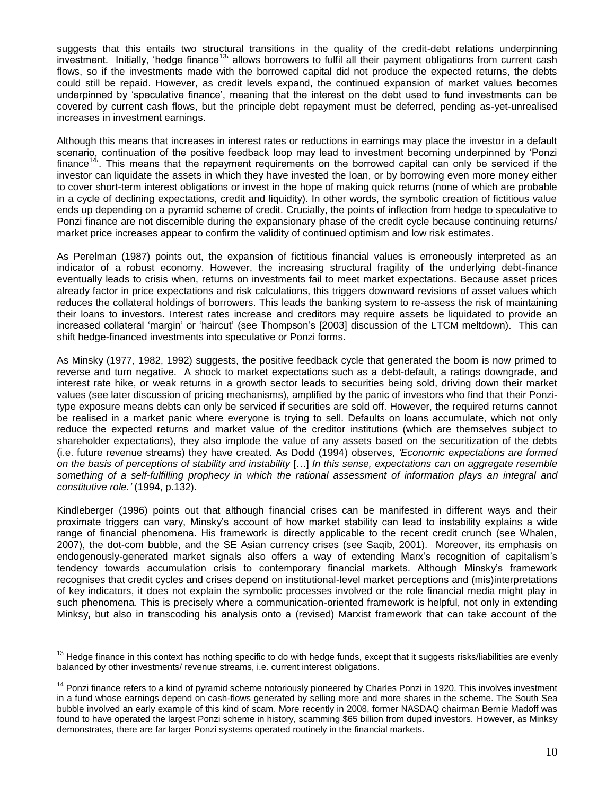suggests that this entails two structural transitions in the quality of the credit-debt relations underpinning investment. Initially, 'hedge finance<sup>13</sup> allows borrowers to fulfil all their payment obligations from current cash flows, so if the investments made with the borrowed capital did not produce the expected returns, the debts could still be repaid. However, as credit levels expand, the continued expansion of market values becomes underpinned by 'speculative finance', meaning that the interest on the debt used to fund investments can be covered by current cash flows, but the principle debt repayment must be deferred, pending as-yet-unrealised increases in investment earnings.

Although this means that increases in interest rates or reductions in earnings may place the investor in a default scenario, continuation of the positive feedback loop may lead to investment becoming underpinned by 'Ponzi finance<sup>14</sup>. This means that the repayment requirements on the borrowed capital can only be serviced if the investor can liquidate the assets in which they have invested the loan, or by borrowing even more money either to cover short-term interest obligations or invest in the hope of making quick returns (none of which are probable in a cycle of declining expectations, credit and liquidity). In other words, the symbolic creation of fictitious value ends up depending on a pyramid scheme of credit. Crucially, the points of inflection from hedge to speculative to Ponzi finance are not discernible during the expansionary phase of the credit cycle because continuing returns/ market price increases appear to confirm the validity of continued optimism and low risk estimates.

As Perelman (1987) points out, the expansion of fictitious financial values is erroneously interpreted as an indicator of a robust economy. However, the increasing structural fragility of the underlying debt-finance eventually leads to crisis when, returns on investments fail to meet market expectations. Because asset prices already factor in price expectations and risk calculations, this triggers downward revisions of asset values which reduces the collateral holdings of borrowers. This leads the banking system to re-assess the risk of maintaining their loans to investors. Interest rates increase and creditors may require assets be liquidated to provide an increased collateral 'margin' or 'haircut' (see Thompson's [2003] discussion of the LTCM meltdown). This can shift hedge-financed investments into speculative or Ponzi forms.

As Minsky (1977, 1982, 1992) suggests, the positive feedback cycle that generated the boom is now primed to reverse and turn negative. A shock to market expectations such as a debt-default, a ratings downgrade, and interest rate hike, or weak returns in a growth sector leads to securities being sold, driving down their market values (see later discussion of pricing mechanisms), amplified by the panic of investors who find that their Ponzitype exposure means debts can only be serviced if securities are sold off. However, the required returns cannot be realised in a market panic where everyone is trying to sell. Defaults on loans accumulate, which not only reduce the expected returns and market value of the creditor institutions (which are themselves subject to shareholder expectations), they also implode the value of any assets based on the securitization of the debts (i.e. future revenue streams) they have created. As Dodd (1994) observes, *'Economic expectations are formed on the basis of perceptions of stability and instability* […] *In this sense, expectations can on aggregate resemble something of a self-fulfilling prophecy in which the rational assessment of information plays an integral and constitutive role.'* (1994, p.132).

Kindleberger (1996) points out that although financial crises can be manifested in different ways and their proximate triggers can vary, Minsky's account of how market stability can lead to instability explains a wide range of financial phenomena. His framework is directly applicable to the recent credit crunch (see Whalen, 2007), the dot-com bubble, and the SE Asian currency crises (see Saqib, 2001). Moreover, its emphasis on endogenously-generated market signals also offers a way of extending Marx's recognition of capitalism's tendency towards accumulation crisis to contemporary financial markets. Although Minsky's framework recognises that credit cycles and crises depend on institutional-level market perceptions and (mis)interpretations of key indicators, it does not explain the symbolic processes involved or the role financial media might play in such phenomena. This is precisely where a communication-oriented framework is helpful, not only in extending Minksy, but also in transcoding his analysis onto a (revised) Marxist framework that can take account of the

<sup>&</sup>lt;sup>13</sup> Hedge finance in this context has nothing specific to do with hedge funds, except that it suggests risks/liabilities are evenly balanced by other investments/ revenue streams, i.e. current interest obligations.

<sup>&</sup>lt;sup>14</sup> Ponzi finance refers to a kind of pyramid scheme notoriously pioneered by Charles Ponzi in 1920. This involves investment in a fund whose earnings depend on cash-flows generated by selling more and more shares in the scheme. The South Sea bubble involved an early example of this kind of scam. More recently in 2008, former NASDAQ chairman Bernie Madoff was found to have operated the largest Ponzi scheme in history, scamming \$65 billion from duped investors. However, as Minksy demonstrates, there are far larger Ponzi systems operated routinely in the financial markets.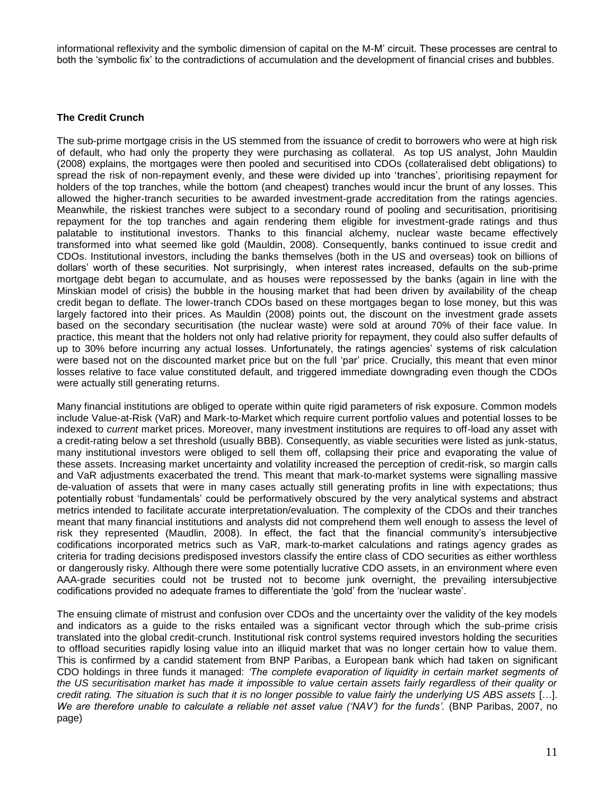informational reflexivity and the symbolic dimension of capital on the M-M' circuit. These processes are central to both the 'symbolic fix' to the contradictions of accumulation and the development of financial crises and bubbles.

### **The Credit Crunch**

The sub-prime mortgage crisis in the US stemmed from the issuance of credit to borrowers who were at high risk of default, who had only the property they were purchasing as collateral. As top US analyst, John Mauldin (2008) explains, the mortgages were then pooled and securitised into CDOs (collateralised debt obligations) to spread the risk of non-repayment evenly, and these were divided up into 'tranches', prioritising repayment for holders of the top tranches, while the bottom (and cheapest) tranches would incur the brunt of any losses. This allowed the higher-tranch securities to be awarded investment-grade accreditation from the ratings agencies. Meanwhile, the riskiest tranches were subject to a secondary round of pooling and securitisation, prioritising repayment for the top tranches and again rendering them eligible for investment-grade ratings and thus palatable to institutional investors. Thanks to this financial alchemy, nuclear waste became effectively transformed into what seemed like gold (Mauldin, 2008). Consequently, banks continued to issue credit and CDOs. Institutional investors, including the banks themselves (both in the US and overseas) took on billions of dollars' worth of these securities. Not surprisingly, when interest rates increased, defaults on the sub-prime mortgage debt began to accumulate, and as houses were repossessed by the banks (again in line with the Minskian model of crisis) the bubble in the housing market that had been driven by availability of the cheap credit began to deflate. The lower-tranch CDOs based on these mortgages began to lose money, but this was largely factored into their prices. As Mauldin (2008) points out, the discount on the investment grade assets based on the secondary securitisation (the nuclear waste) were sold at around 70% of their face value. In practice, this meant that the holders not only had relative priority for repayment, they could also suffer defaults of up to 30% before incurring any actual losses. Unfortunately, the ratings agencies' systems of risk calculation were based not on the discounted market price but on the full 'par' price. Crucially, this meant that even minor losses relative to face value constituted default, and triggered immediate downgrading even though the CDOs were actually still generating returns.

Many financial institutions are obliged to operate within quite rigid parameters of risk exposure. Common models include Value-at-Risk (VaR) and Mark-to-Market which require current portfolio values and potential losses to be indexed to *current* market prices. Moreover, many investment institutions are requires to off-load any asset with a credit-rating below a set threshold (usually BBB). Consequently, as viable securities were listed as junk-status, many institutional investors were obliged to sell them off, collapsing their price and evaporating the value of these assets. Increasing market uncertainty and volatility increased the perception of credit-risk, so margin calls and VaR adjustments exacerbated the trend. This meant that mark-to-market systems were signalling massive de-valuation of assets that were in many cases actually still generating profits in line with expectations; thus potentially robust 'fundamentals' could be performatively obscured by the very analytical systems and abstract metrics intended to facilitate accurate interpretation/evaluation. The complexity of the CDOs and their tranches meant that many financial institutions and analysts did not comprehend them well enough to assess the level of risk they represented (Maudlin, 2008). In effect, the fact that the financial community's intersubjective codifications incorporated metrics such as VaR, mark-to-market calculations and ratings agency grades as criteria for trading decisions predisposed investors classify the entire class of CDO securities as either worthless or dangerously risky. Although there were some potentially lucrative CDO assets, in an environment where even AAA-grade securities could not be trusted not to become junk overnight, the prevailing intersubjective codifications provided no adequate frames to differentiate the 'gold' from the 'nuclear waste'.

The ensuing climate of mistrust and confusion over CDOs and the uncertainty over the validity of the key models and indicators as a guide to the risks entailed was a significant vector through which the sub-prime crisis translated into the global credit-crunch. Institutional risk control systems required investors holding the securities to offload securities rapidly losing value into an illiquid market that was no longer certain how to value them. This is confirmed by a candid statement from BNP Paribas, a European bank which had taken on significant CDO holdings in three funds it managed: *'The complete evaporation of liquidity in certain market segments of the US securitisation market has made it impossible to value certain assets fairly regardless of their quality or credit rating. The situation is such that it is no longer possible to value fairly the underlying US ABS assets* […]. *We are therefore unable to calculate a reliable net asset value ('NAV') for the funds'.* (BNP Paribas, 2007, no page)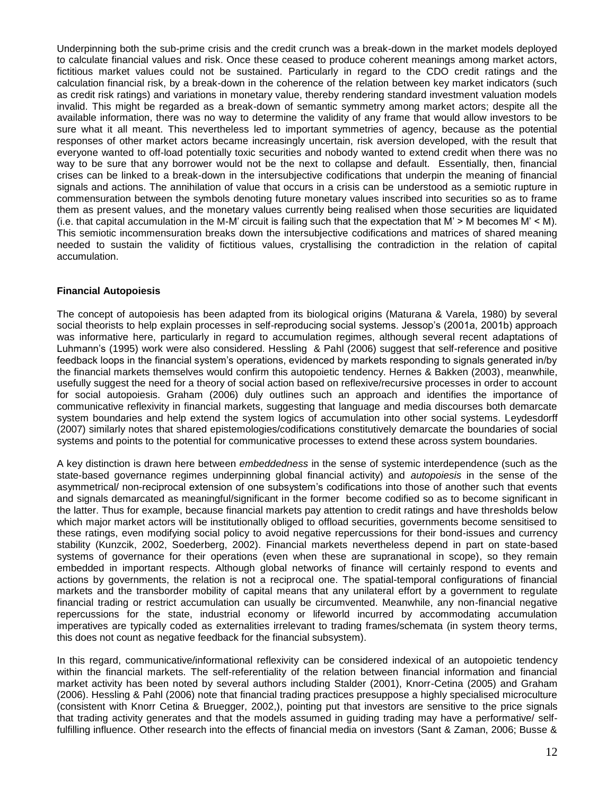Underpinning both the sub-prime crisis and the credit crunch was a break-down in the market models deployed to calculate financial values and risk. Once these ceased to produce coherent meanings among market actors, fictitious market values could not be sustained. Particularly in regard to the CDO credit ratings and the calculation financial risk, by a break-down in the coherence of the relation between key market indicators (such as credit risk ratings) and variations in monetary value, thereby rendering standard investment valuation models invalid. This might be regarded as a break-down of semantic symmetry among market actors; despite all the available information, there was no way to determine the validity of any frame that would allow investors to be sure what it all meant. This nevertheless led to important symmetries of agency, because as the potential responses of other market actors became increasingly uncertain, risk aversion developed, with the result that everyone wanted to off-load potentially toxic securities and nobody wanted to extend credit when there was no way to be sure that any borrower would not be the next to collapse and default. Essentially, then, financial crises can be linked to a break-down in the intersubjective codifications that underpin the meaning of financial signals and actions. The annihilation of value that occurs in a crisis can be understood as a semiotic rupture in commensuration between the symbols denoting future monetary values inscribed into securities so as to frame them as present values, and the monetary values currently being realised when those securities are liquidated (i.e. that capital accumulation in the M-M' circuit is failing such that the expectation that M' > M becomes M' < M). This semiotic incommensuration breaks down the intersubjective codifications and matrices of shared meaning needed to sustain the validity of fictitious values, crystallising the contradiction in the relation of capital accumulation.

#### **Financial Autopoiesis**

The concept of autopoiesis has been adapted from its biological origins (Maturana & Varela, 1980) by several social theorists to help explain processes in self-reproducing social systems. Jessop's (2001a, 2001b) approach was informative here, particularly in regard to accumulation regimes, although several recent adaptations of Luhmann's (1995) work were also considered. Hessling & Pahl (2006) suggest that self-reference and positive feedback loops in the financial system's operations, evidenced by markets responding to signals generated in/by the financial markets themselves would confirm this autopoietic tendency. Hernes & Bakken (2003), meanwhile, usefully suggest the need for a theory of social action based on reflexive/recursive processes in order to account for social autopoiesis. Graham (2006) duly outlines such an approach and identifies the importance of communicative reflexivity in financial markets, suggesting that language and media discourses both demarcate system boundaries and help extend the system logics of accumulation into other social systems. Leydesdorff (2007) similarly notes that shared epistemologies/codifications constitutively demarcate the boundaries of social systems and points to the potential for communicative processes to extend these across system boundaries.

A key distinction is drawn here between *embeddedness* in the sense of systemic interdependence (such as the state-based governance regimes underpinning global financial activity) and *autopoiesis* in the sense of the asymmetrical/ non-reciprocal extension of one subsystem's codifications into those of another such that events and signals demarcated as meaningful/significant in the former become codified so as to become significant in the latter. Thus for example, because financial markets pay attention to credit ratings and have thresholds below which major market actors will be institutionally obliged to offload securities, governments become sensitised to these ratings, even modifying social policy to avoid negative repercussions for their bond-issues and currency stability (Kunzcik, 2002, Soederberg, 2002). Financial markets nevertheless depend in part on state-based systems of governance for their operations (even when these are supranational in scope), so they remain embedded in important respects. Although global networks of finance will certainly respond to events and actions by governments, the relation is not a reciprocal one. The spatial-temporal configurations of financial markets and the transborder mobility of capital means that any unilateral effort by a government to regulate financial trading or restrict accumulation can usually be circumvented. Meanwhile, any non-financial negative repercussions for the state, industrial economy or lifeworld incurred by accommodating accumulation imperatives are typically coded as externalities irrelevant to trading frames/schemata (in system theory terms, this does not count as negative feedback for the financial subsystem).

In this regard, communicative/informational reflexivity can be considered indexical of an autopoietic tendency within the financial markets. The self-referentiality of the relation between financial information and financial market activity has been noted by several authors including Stalder (2001), Knorr-Cetina (2005) and Graham (2006). Hessling & Pahl (2006) note that financial trading practices presuppose a highly specialised microculture (consistent with Knorr Cetina & Bruegger, 2002,), pointing put that investors are sensitive to the price signals that trading activity generates and that the models assumed in guiding trading may have a performative/ selffulfilling influence. Other research into the effects of financial media on investors (Sant & Zaman, 2006; Busse &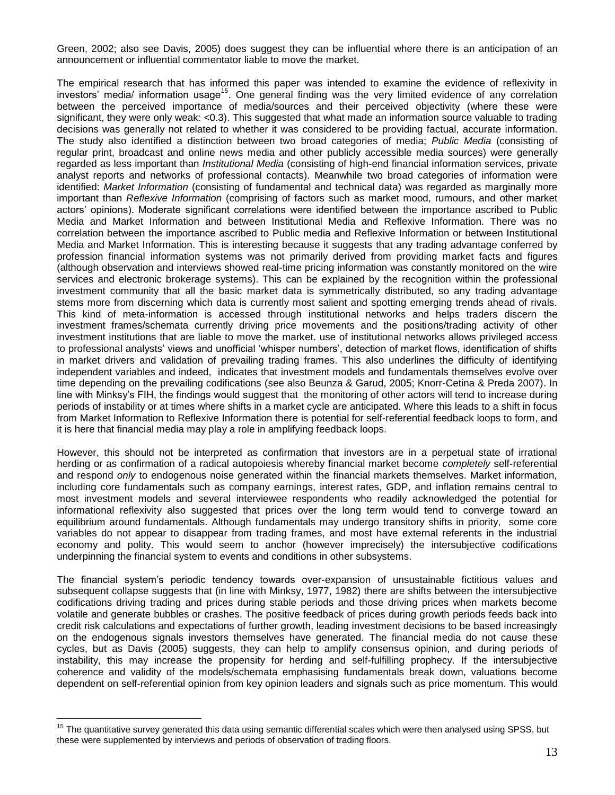Green, 2002; also see Davis, 2005) does suggest they can be influential where there is an anticipation of an announcement or influential commentator liable to move the market.

The empirical research that has informed this paper was intended to examine the evidence of reflexivity in investors' media/ information usage<sup>15</sup>. One general finding was the very limited evidence of any correlation between the perceived importance of media/sources and their perceived objectivity (where these were significant, they were only weak: <0.3). This suggested that what made an information source valuable to trading decisions was generally not related to whether it was considered to be providing factual, accurate information. The study also identified a distinction between two broad categories of media; *Public Media* (consisting of regular print, broadcast and online news media and other publicly accessible media sources) were generally regarded as less important than *Institutional Media* (consisting of high-end financial information services, private analyst reports and networks of professional contacts). Meanwhile two broad categories of information were identified: *Market Information* (consisting of fundamental and technical data) was regarded as marginally more important than *Reflexive Information* (comprising of factors such as market mood, rumours, and other market actors' opinions). Moderate significant correlations were identified between the importance ascribed to Public Media and Market Information and between Institutional Media and Reflexive Information. There was no correlation between the importance ascribed to Public media and Reflexive Information or between Institutional Media and Market Information. This is interesting because it suggests that any trading advantage conferred by profession financial information systems was not primarily derived from providing market facts and figures (although observation and interviews showed real-time pricing information was constantly monitored on the wire services and electronic brokerage systems). This can be explained by the recognition within the professional investment community that all the basic market data is symmetrically distributed, so any trading advantage stems more from discerning which data is currently most salient and spotting emerging trends ahead of rivals. This kind of meta-information is accessed through institutional networks and helps traders discern the investment frames/schemata currently driving price movements and the positions/trading activity of other investment institutions that are liable to move the market. use of institutional networks allows privileged access to professional analysts' views and unofficial 'whisper numbers', detection of market flows, identification of shifts in market drivers and validation of prevailing trading frames. This also underlines the difficulty of identifying independent variables and indeed, indicates that investment models and fundamentals themselves evolve over time depending on the prevailing codifications (see also Beunza & Garud, 2005; Knorr-Cetina & Preda 2007). In line with Minksy's FIH, the findings would suggest that the monitoring of other actors will tend to increase during periods of instability or at times where shifts in a market cycle are anticipated. Where this leads to a shift in focus from Market Information to Reflexive Information there is potential for self-referential feedback loops to form, and it is here that financial media may play a role in amplifying feedback loops.

However, this should not be interpreted as confirmation that investors are in a perpetual state of irrational herding or as confirmation of a radical autopoiesis whereby financial market become *completely* self-referential and respond *only* to endogenous noise generated within the financial markets themselves. Market information, including core fundamentals such as company earnings, interest rates, GDP, and inflation remains central to most investment models and several interviewee respondents who readily acknowledged the potential for informational reflexivity also suggested that prices over the long term would tend to converge toward an equilibrium around fundamentals. Although fundamentals may undergo transitory shifts in priority, some core variables do not appear to disappear from trading frames, and most have external referents in the industrial economy and polity. This would seem to anchor (however imprecisely) the intersubjective codifications underpinning the financial system to events and conditions in other subsystems.

The financial system's periodic tendency towards over-expansion of unsustainable fictitious values and subsequent collapse suggests that (in line with Minksy, 1977, 1982) there are shifts between the intersubjective codifications driving trading and prices during stable periods and those driving prices when markets become volatile and generate bubbles or crashes. The positive feedback of prices during growth periods feeds back into credit risk calculations and expectations of further growth, leading investment decisions to be based increasingly on the endogenous signals investors themselves have generated. The financial media do not cause these cycles, but as Davis (2005) suggests, they can help to amplify consensus opinion, and during periods of instability, this may increase the propensity for herding and self-fulfilling prophecy. If the intersubjective coherence and validity of the models/schemata emphasising fundamentals break down, valuations become dependent on self-referential opinion from key opinion leaders and signals such as price momentum. This would

<sup>&</sup>lt;sup>15</sup> The quantitative survey generated this data using semantic differential scales which were then analysed using SPSS, but these were supplemented by interviews and periods of observation of trading floors.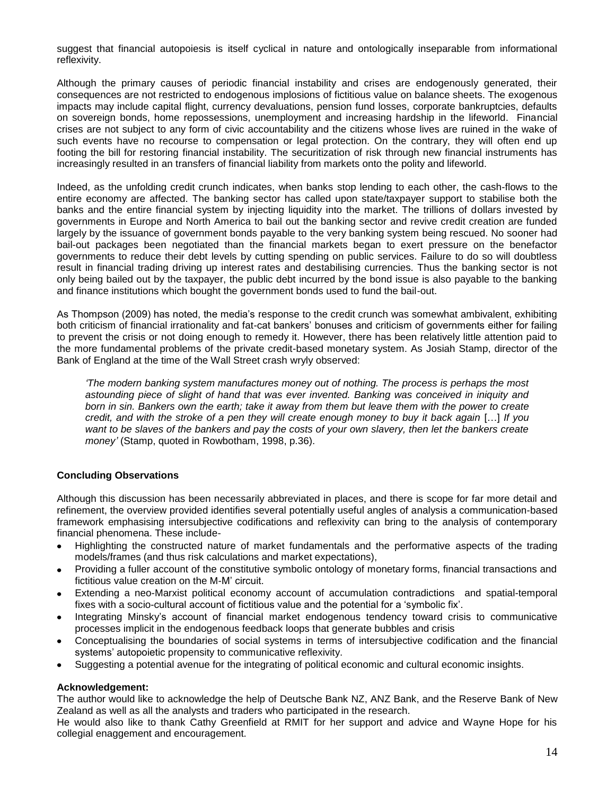suggest that financial autopoiesis is itself cyclical in nature and ontologically inseparable from informational reflexivity.

Although the primary causes of periodic financial instability and crises are endogenously generated, their consequences are not restricted to endogenous implosions of fictitious value on balance sheets. The exogenous impacts may include capital flight, currency devaluations, pension fund losses, corporate bankruptcies, defaults on sovereign bonds, home repossessions, unemployment and increasing hardship in the lifeworld. Financial crises are not subject to any form of civic accountability and the citizens whose lives are ruined in the wake of such events have no recourse to compensation or legal protection. On the contrary, they will often end up footing the bill for restoring financial instability. The securitization of risk through new financial instruments has increasingly resulted in an transfers of financial liability from markets onto the polity and lifeworld.

Indeed, as the unfolding credit crunch indicates, when banks stop lending to each other, the cash-flows to the entire economy are affected. The banking sector has called upon state/taxpayer support to stabilise both the banks and the entire financial system by injecting liquidity into the market. The trillions of dollars invested by governments in Europe and North America to bail out the banking sector and revive credit creation are funded largely by the issuance of government bonds payable to the very banking system being rescued. No sooner had bail-out packages been negotiated than the financial markets began to exert pressure on the benefactor governments to reduce their debt levels by cutting spending on public services. Failure to do so will doubtless result in financial trading driving up interest rates and destabilising currencies. Thus the banking sector is not only being bailed out by the taxpayer, the public debt incurred by the bond issue is also payable to the banking and finance institutions which bought the government bonds used to fund the bail-out.

As Thompson (2009) has noted, the media's response to the credit crunch was somewhat ambivalent, exhibiting both criticism of financial irrationality and fat-cat bankers' bonuses and criticism of governments either for failing to prevent the crisis or not doing enough to remedy it. However, there has been relatively little attention paid to the more fundamental problems of the private credit-based monetary system. As Josiah Stamp, director of the Bank of England at the time of the Wall Street crash wryly observed:

*'The modern banking system manufactures money out of nothing. The process is perhaps the most astounding piece of slight of hand that was ever invented. Banking was conceived in iniquity and born in sin. Bankers own the earth; take it away from them but leave them with the power to create credit, and with the stroke of a pen they will create enough money to buy it back again [...] If you* want to be slaves of the bankers and pay the costs of your own slavery, then let the bankers create *money'* (Stamp, quoted in Rowbotham, 1998, p.36).

### **Concluding Observations**

Although this discussion has been necessarily abbreviated in places, and there is scope for far more detail and refinement, the overview provided identifies several potentially useful angles of analysis a communication-based framework emphasising intersubjective codifications and reflexivity can bring to the analysis of contemporary financial phenomena. These include-

- Highlighting the constructed nature of market fundamentals and the performative aspects of the trading  $\bullet$ models/frames (and thus risk calculations and market expectations),
- Providing a fuller account of the constitutive symbolic ontology of monetary forms, financial transactions and fictitious value creation on the M-M' circuit.
- Extending a neo-Marxist political economy account of accumulation contradictions and spatial-temporal fixes with a socio-cultural account of fictitious value and the potential for a 'symbolic fix'.
- Integrating Minsky's account of financial market endogenous tendency toward crisis to communicative processes implicit in the endogenous feedback loops that generate bubbles and crisis
- Conceptualising the boundaries of social systems in terms of intersubjective codification and the financial systems' autopoietic propensity to communicative reflexivity.
- Suggesting a potential avenue for the integrating of political economic and cultural economic insights.

#### **Acknowledgement:**

The author would like to acknowledge the help of Deutsche Bank NZ, ANZ Bank, and the Reserve Bank of New Zealand as well as all the analysts and traders who participated in the research.

He would also like to thank Cathy Greenfield at RMIT for her support and advice and Wayne Hope for his collegial enaggement and encouragement.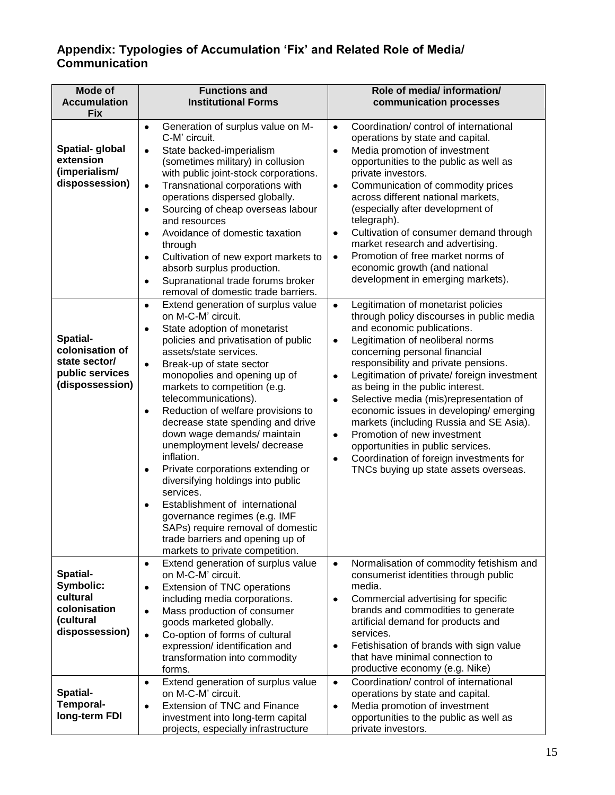# **Appendix: Typologies of Accumulation 'Fix' and Related Role of Media/ Communication**

| <b>Mode of</b>                                                                     | <b>Functions and</b>                                                                                                                                                                                                                                                                                                                                                                                                                                                                                                                                                                                                                                                                                                                                                                            | Role of media/ information/                                                                                                                                                                                                                                                                                                                                                                                                                                                                                                                                                                                                                                 |  |  |  |
|------------------------------------------------------------------------------------|-------------------------------------------------------------------------------------------------------------------------------------------------------------------------------------------------------------------------------------------------------------------------------------------------------------------------------------------------------------------------------------------------------------------------------------------------------------------------------------------------------------------------------------------------------------------------------------------------------------------------------------------------------------------------------------------------------------------------------------------------------------------------------------------------|-------------------------------------------------------------------------------------------------------------------------------------------------------------------------------------------------------------------------------------------------------------------------------------------------------------------------------------------------------------------------------------------------------------------------------------------------------------------------------------------------------------------------------------------------------------------------------------------------------------------------------------------------------------|--|--|--|
| <b>Accumulation</b><br><b>Fix</b>                                                  | <b>Institutional Forms</b>                                                                                                                                                                                                                                                                                                                                                                                                                                                                                                                                                                                                                                                                                                                                                                      | communication processes                                                                                                                                                                                                                                                                                                                                                                                                                                                                                                                                                                                                                                     |  |  |  |
| Spatial-global<br>extension<br>(imperialism/<br>dispossession)                     | Generation of surplus value on M-<br>$\bullet$<br>C-M' circuit.<br>State backed-imperialism<br>$\bullet$<br>(sometimes military) in collusion<br>with public joint-stock corporations.<br>Transnational corporations with<br>$\bullet$<br>operations dispersed globally.<br>Sourcing of cheap overseas labour<br>٠<br>and resources<br>Avoidance of domestic taxation<br>$\bullet$<br>through<br>Cultivation of new export markets to<br>$\bullet$<br>absorb surplus production.<br>Supranational trade forums broker<br>٠                                                                                                                                                                                                                                                                      | Coordination/ control of international<br>$\bullet$<br>operations by state and capital.<br>Media promotion of investment<br>$\bullet$<br>opportunities to the public as well as<br>private investors.<br>Communication of commodity prices<br>$\bullet$<br>across different national markets,<br>(especially after development of<br>telegraph).<br>Cultivation of consumer demand through<br>٠<br>market research and advertising.<br>Promotion of free market norms of<br>$\bullet$<br>economic growth (and national<br>development in emerging markets).                                                                                                 |  |  |  |
| Spatial-<br>colonisation of<br>state sector/<br>public services<br>(dispossession) | removal of domestic trade barriers.<br>Extend generation of surplus value<br>$\bullet$<br>on M-C-M' circuit.<br>State adoption of monetarist<br>٠<br>policies and privatisation of public<br>assets/state services.<br>Break-up of state sector<br>$\bullet$<br>monopolies and opening up of<br>markets to competition (e.g.<br>telecommunications).<br>Reduction of welfare provisions to<br>$\bullet$<br>decrease state spending and drive<br>down wage demands/ maintain<br>unemployment levels/ decrease<br>inflation.<br>Private corporations extending or<br>diversifying holdings into public<br>services.<br>Establishment of international<br>governance regimes (e.g. IMF<br>SAPs) require removal of domestic<br>trade barriers and opening up of<br>markets to private competition. | Legitimation of monetarist policies<br>$\bullet$<br>through policy discourses in public media<br>and economic publications.<br>Legitimation of neoliberal norms<br>٠<br>concerning personal financial<br>responsibility and private pensions.<br>Legitimation of private/ foreign investment<br>$\bullet$<br>as being in the public interest.<br>Selective media (mis)representation of<br>$\bullet$<br>economic issues in developing/emerging<br>markets (including Russia and SE Asia).<br>Promotion of new investment<br>٠<br>opportunities in public services.<br>Coordination of foreign investments for<br>٠<br>TNCs buying up state assets overseas. |  |  |  |
| Spatial-<br>Symbolic:<br>cultural<br>colonisation<br>(cultural<br>dispossession)   | Extend generation of surplus value<br>$\bullet$<br>on M-C-M' circuit.<br>Extension of TNC operations<br>$\bullet$<br>including media corporations.<br>Mass production of consumer<br>$\bullet$<br>goods marketed globally.<br>Co-option of forms of cultural<br>$\bullet$<br>expression/ identification and<br>transformation into commodity<br>forms.                                                                                                                                                                                                                                                                                                                                                                                                                                          | Normalisation of commodity fetishism and<br>$\bullet$<br>consumerist identities through public<br>media.<br>Commercial advertising for specific<br>$\bullet$<br>brands and commodities to generate<br>artificial demand for products and<br>services.<br>Fetishisation of brands with sign value<br>٠<br>that have minimal connection to<br>productive economy (e.g. Nike)                                                                                                                                                                                                                                                                                  |  |  |  |
| Spatial-<br><b>Temporal-</b><br>long-term FDI                                      | Extend generation of surplus value<br>$\bullet$<br>on M-C-M' circuit.<br>Extension of TNC and Finance<br>$\bullet$<br>investment into long-term capital<br>projects, especially infrastructure                                                                                                                                                                                                                                                                                                                                                                                                                                                                                                                                                                                                  | Coordination/ control of international<br>$\bullet$<br>operations by state and capital.<br>Media promotion of investment<br>$\bullet$<br>opportunities to the public as well as<br>private investors.                                                                                                                                                                                                                                                                                                                                                                                                                                                       |  |  |  |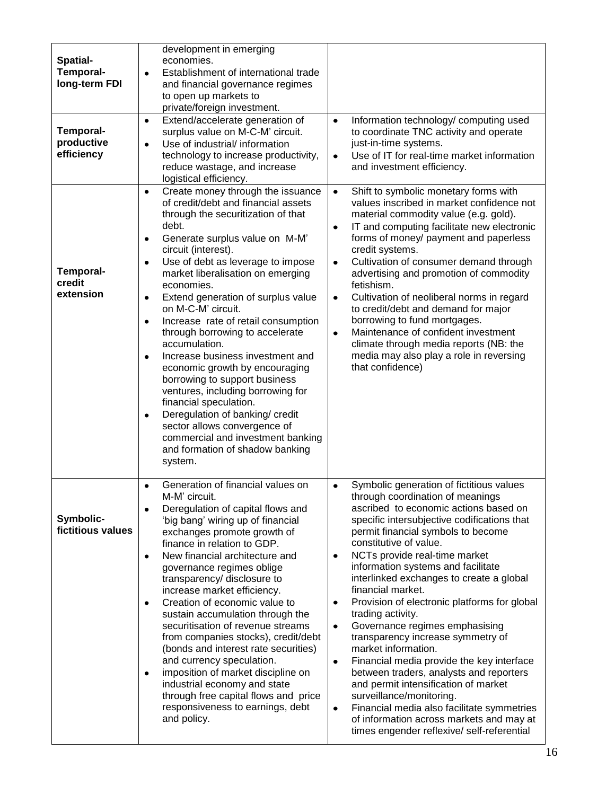| Spatial-<br><b>Temporal-</b><br>long-term FDI<br>Temporal-<br>productive<br>efficiency | development in emerging<br>economies.<br>Establishment of international trade<br>$\bullet$<br>and financial governance regimes<br>to open up markets to<br>private/foreign investment.<br>Extend/accelerate generation of<br>$\bullet$<br>surplus value on M-C-M' circuit.<br>Use of industrial/ information<br>$\bullet$<br>technology to increase productivity,<br>reduce wastage, and increase<br>logistical efficiency.                                                                                                                                                                                                                                                                                                                                                                                                            | Information technology/ computing used<br>$\bullet$<br>to coordinate TNC activity and operate<br>just-in-time systems.<br>Use of IT for real-time market information<br>$\bullet$<br>and investment efficiency.                                                                                                                                                                                                                                                                                                                                                                                                                                                                                                                                                                                                                                                                                                                   |
|----------------------------------------------------------------------------------------|----------------------------------------------------------------------------------------------------------------------------------------------------------------------------------------------------------------------------------------------------------------------------------------------------------------------------------------------------------------------------------------------------------------------------------------------------------------------------------------------------------------------------------------------------------------------------------------------------------------------------------------------------------------------------------------------------------------------------------------------------------------------------------------------------------------------------------------|-----------------------------------------------------------------------------------------------------------------------------------------------------------------------------------------------------------------------------------------------------------------------------------------------------------------------------------------------------------------------------------------------------------------------------------------------------------------------------------------------------------------------------------------------------------------------------------------------------------------------------------------------------------------------------------------------------------------------------------------------------------------------------------------------------------------------------------------------------------------------------------------------------------------------------------|
| <b>Temporal-</b><br>credit<br>extension                                                | Create money through the issuance<br>$\bullet$<br>of credit/debt and financial assets<br>through the securitization of that<br>debt.<br>Generate surplus value on M-M'<br>$\bullet$<br>circuit (interest).<br>Use of debt as leverage to impose<br>$\bullet$<br>market liberalisation on emerging<br>economies.<br>Extend generation of surplus value<br>$\bullet$<br>on M-C-M' circuit.<br>Increase rate of retail consumption<br>٠<br>through borrowing to accelerate<br>accumulation.<br>Increase business investment and<br>$\bullet$<br>economic growth by encouraging<br>borrowing to support business<br>ventures, including borrowing for<br>financial speculation.<br>Deregulation of banking/ credit<br>٠<br>sector allows convergence of<br>commercial and investment banking<br>and formation of shadow banking<br>system. | Shift to symbolic monetary forms with<br>$\bullet$<br>values inscribed in market confidence not<br>material commodity value (e.g. gold).<br>IT and computing facilitate new electronic<br>$\bullet$<br>forms of money/ payment and paperless<br>credit systems.<br>Cultivation of consumer demand through<br>$\bullet$<br>advertising and promotion of commodity<br>fetishism.<br>Cultivation of neoliberal norms in regard<br>$\bullet$<br>to credit/debt and demand for major<br>borrowing to fund mortgages.<br>Maintenance of confident investment<br>$\bullet$<br>climate through media reports (NB: the<br>media may also play a role in reversing<br>that confidence)                                                                                                                                                                                                                                                      |
| Symbolic-<br>fictitious values                                                         | Generation of financial values on<br>$\bullet$<br>M-M' circuit.<br>Deregulation of capital flows and<br>$\bullet$<br>'big bang' wiring up of financial<br>exchanges promote growth of<br>finance in relation to GDP.<br>New financial architecture and<br>$\bullet$<br>governance regimes oblige<br>transparency/ disclosure to<br>increase market efficiency.<br>Creation of economic value to<br>$\bullet$<br>sustain accumulation through the<br>securitisation of revenue streams<br>from companies stocks), credit/debt<br>(bonds and interest rate securities)<br>and currency speculation.<br>imposition of market discipline on<br>$\bullet$<br>industrial economy and state<br>through free capital flows and price<br>responsiveness to earnings, debt<br>and policy.                                                        | Symbolic generation of fictitious values<br>$\bullet$<br>through coordination of meanings<br>ascribed to economic actions based on<br>specific intersubjective codifications that<br>permit financial symbols to become<br>constitutive of value.<br>NCTs provide real-time market<br>$\bullet$<br>information systems and facilitate<br>interlinked exchanges to create a global<br>financial market.<br>Provision of electronic platforms for global<br>$\bullet$<br>trading activity.<br>Governance regimes emphasising<br>$\bullet$<br>transparency increase symmetry of<br>market information.<br>Financial media provide the key interface<br>$\bullet$<br>between traders, analysts and reporters<br>and permit intensification of market<br>surveillance/monitoring.<br>Financial media also facilitate symmetries<br>$\bullet$<br>of information across markets and may at<br>times engender reflexive/ self-referential |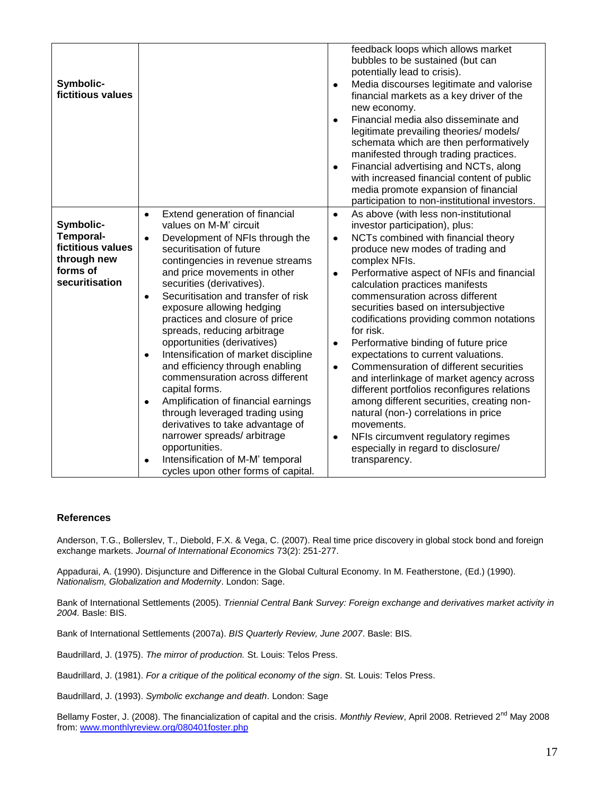| Symbolic-<br>fictitious values                                                                  |                                                                                                                                                                                                                                                                                                                                                                                                                                                                                                                                                                                                                                                                                                                                                                                                                                             | feedback loops which allows market<br>bubbles to be sustained (but can<br>potentially lead to crisis).<br>Media discourses legitimate and valorise<br>$\bullet$<br>financial markets as a key driver of the<br>new economy.<br>Financial media also disseminate and<br>$\bullet$<br>legitimate prevailing theories/ models/<br>schemata which are then performatively<br>manifested through trading practices.<br>Financial advertising and NCTs, along<br>$\bullet$<br>with increased financial content of public<br>media promote expansion of financial<br>participation to non-institutional investors.                                                                                                                                                                                                                                                                               |
|-------------------------------------------------------------------------------------------------|---------------------------------------------------------------------------------------------------------------------------------------------------------------------------------------------------------------------------------------------------------------------------------------------------------------------------------------------------------------------------------------------------------------------------------------------------------------------------------------------------------------------------------------------------------------------------------------------------------------------------------------------------------------------------------------------------------------------------------------------------------------------------------------------------------------------------------------------|-------------------------------------------------------------------------------------------------------------------------------------------------------------------------------------------------------------------------------------------------------------------------------------------------------------------------------------------------------------------------------------------------------------------------------------------------------------------------------------------------------------------------------------------------------------------------------------------------------------------------------------------------------------------------------------------------------------------------------------------------------------------------------------------------------------------------------------------------------------------------------------------|
| Symbolic-<br><b>Temporal-</b><br>fictitious values<br>through new<br>forms of<br>securitisation | Extend generation of financial<br>$\bullet$<br>values on M-M' circuit<br>Development of NFIs through the<br>$\bullet$<br>securitisation of future<br>contingencies in revenue streams<br>and price movements in other<br>securities (derivatives).<br>Securitisation and transfer of risk<br>$\bullet$<br>exposure allowing hedging<br>practices and closure of price<br>spreads, reducing arbitrage<br>opportunities (derivatives)<br>Intensification of market discipline<br>$\bullet$<br>and efficiency through enabling<br>commensuration across different<br>capital forms.<br>Amplification of financial earnings<br>٠<br>through leveraged trading using<br>derivatives to take advantage of<br>narrower spreads/arbitrage<br>opportunities.<br>Intensification of M-M' temporal<br>$\bullet$<br>cycles upon other forms of capital. | As above (with less non-institutional<br>$\bullet$<br>investor participation), plus:<br>NCTs combined with financial theory<br>$\bullet$<br>produce new modes of trading and<br>complex NFIs.<br>Performative aspect of NFIs and financial<br>$\bullet$<br>calculation practices manifests<br>commensuration across different<br>securities based on intersubjective<br>codifications providing common notations<br>for risk.<br>Performative binding of future price<br>$\bullet$<br>expectations to current valuations.<br>Commensuration of different securities<br>$\bullet$<br>and interlinkage of market agency across<br>different portfolios reconfigures relations<br>among different securities, creating non-<br>natural (non-) correlations in price<br>movements.<br>NFIs circumvent regulatory regimes<br>$\bullet$<br>especially in regard to disclosure/<br>transparency. |

#### **References**

Anderson, T.G., Bollerslev, T., Diebold, F.X. & Vega, C. (2007). Real time price discovery in global stock bond and foreign exchange markets. *Journal of International Economics* 73(2): 251-277.

Appadurai, A. (1990). Disjuncture and Difference in the Global Cultural Economy. In M. Featherstone, (Ed.) (1990). *Nationalism, Globalization and Modernity*. London: Sage.

Bank of International Settlements (2005). *Triennial Central Bank Survey: Foreign exchange and derivatives market activity in 2004.* Basle: BIS.

Bank of International Settlements (2007a). *BIS Quarterly Review, June 2007*. Basle: BIS.

Baudrillard, J. (1975). *The mirror of production.* St. Louis: Telos Press.

Baudrillard, J. (1981). *For a critique of the political economy of the sign*. St. Louis: Telos Press.

Baudrillard, J. (1993). *Symbolic exchange and death*. London: Sage

Bellamy Foster, J. (2008). The financialization of capital and the crisis. Monthly Review, April 2008. Retrieved 2<sup>nd</sup> May 2008 from[: www.monthlyreview.org/080401foster.php](http://www.monthlyreview.org/080401foster.php)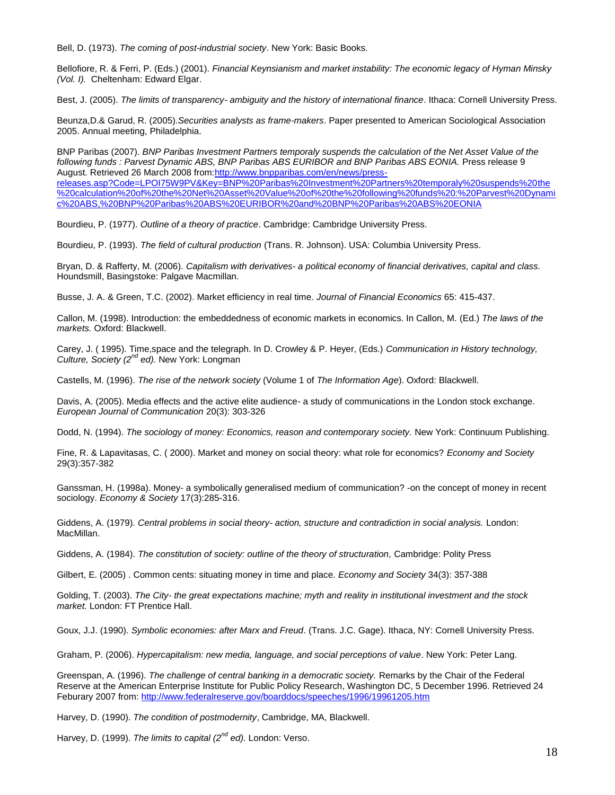Bell, D. (1973). *The coming of post-industrial society*. New York: Basic Books.

Bellofiore, R. & Ferri, P. (Eds.) (2001). *Financial Keynsianism and market instability: The economic legacy of Hyman Minsky (Vol. I).* Cheltenham: Edward Elgar.

Best, J. (2005). *The limits of transparency- ambiguity and the history of international finance*. Ithaca: Cornell University Press.

Beunza,D.& Garud, R. (2005).*Securities analysts as frame-makers*. Paper presented to American Sociological Association 2005. Annual meeting, Philadelphia.

BNP Paribas (2007). *BNP Paribas Investment Partners temporaly suspends the calculation of the Net Asset Value of the*  following funds : Parvest Dynamic ABS, BNP Paribas ABS EURIBOR and BNP Paribas ABS EONIA. Press release 9 August. Retrieved 26 March 2008 from[:http://www.bnpparibas.com/en/news/press](http://www.bnpparibas.com/en/news/press-releases.asp?Code=LPOI75W9PV&Key=BNP%20Paribas%20Investment%20Partners%20temporaly%20suspends%20the%20calculation%20of%20the%20Net%20Asset%20Value%20of%20the%20following%20funds%20:%20Parvest%20Dynamic%20ABS,%20BNP%20Paribas%20ABS%20EURIBOR%20and%20BNP%20Paribas%20ABS%20EONIA)[releases.asp?Code=LPOI75W9PV&Key=BNP%20Paribas%20Investment%20Partners%20temporaly%20suspends%20the](http://www.bnpparibas.com/en/news/press-releases.asp?Code=LPOI75W9PV&Key=BNP%20Paribas%20Investment%20Partners%20temporaly%20suspends%20the%20calculation%20of%20the%20Net%20Asset%20Value%20of%20the%20following%20funds%20:%20Parvest%20Dynamic%20ABS,%20BNP%20Paribas%20ABS%20EURIBOR%20and%20BNP%20Paribas%20ABS%20EONIA) [%20calculation%20of%20the%20Net%20Asset%20Value%20of%20the%20following%20funds%20:%20Parvest%20Dynami](http://www.bnpparibas.com/en/news/press-releases.asp?Code=LPOI75W9PV&Key=BNP%20Paribas%20Investment%20Partners%20temporaly%20suspends%20the%20calculation%20of%20the%20Net%20Asset%20Value%20of%20the%20following%20funds%20:%20Parvest%20Dynamic%20ABS,%20BNP%20Paribas%20ABS%20EURIBOR%20and%20BNP%20Paribas%20ABS%20EONIA) [c%20ABS,%20BNP%20Paribas%20ABS%20EURIBOR%20and%20BNP%20Paribas%20ABS%20EONIA](http://www.bnpparibas.com/en/news/press-releases.asp?Code=LPOI75W9PV&Key=BNP%20Paribas%20Investment%20Partners%20temporaly%20suspends%20the%20calculation%20of%20the%20Net%20Asset%20Value%20of%20the%20following%20funds%20:%20Parvest%20Dynamic%20ABS,%20BNP%20Paribas%20ABS%20EURIBOR%20and%20BNP%20Paribas%20ABS%20EONIA)

Bourdieu, P. (1977). *Outline of a theory of practice*. Cambridge: Cambridge University Press.

Bourdieu, P. (1993). *The field of cultural production* (Trans. R. Johnson). USA: Columbia University Press.

Bryan, D. & Rafferty, M. (2006). *Capitalism with derivatives- a political economy of financial derivatives, capital and class.*  Houndsmill, Basingstoke: Palgave Macmillan.

Busse, J. A. & Green, T.C. (2002). Market efficiency in real time. *Journal of Financial Economics* 65: 415-437.

Callon, M. (1998). Introduction: the embeddedness of economic markets in economics. In Callon, M. (Ed.) *The laws of the markets.* Oxford: Blackwell.

Carey, J. ( 1995). Time,space and the telegraph. In D. Crowley & P. Heyer, (Eds.) *Communication in History technology, Culture, Society (2nd ed).* New York: Longman

Castells, M. (1996). *The rise of the network society* (Volume 1 of *The Information Age*). Oxford: Blackwell.

Davis, A. (2005). Media effects and the active elite audience- a study of communications in the London stock exchange. *European Journal of Communication* 20(3): 303-326

Dodd, N. (1994). *The sociology of money: Economics, reason and contemporary society.* New York: Continuum Publishing.

Fine, R. & Lapavitasas, C. ( 2000). Market and money on social theory: what role for economics? *Economy and Society* 29(3):357-382

Ganssman, H. (1998a). Money- a symbolically generalised medium of communication? -on the concept of money in recent sociology. *Economy & Society* 17(3):285-316.

Giddens, A. (1979). *Central problems in social theory- action, structure and contradiction in social analysis.* London: MacMillan.

Giddens, A. (1984). *The constitution of society: outline of the theory of structuration,* Cambridge: Polity Press

Gilbert, E. (2005) . Common cents: situating money in time and place. *Economy and Society* 34(3): 357-388

Golding, T. (2003). *The City- the great expectations machine; myth and reality in institutional investment and the stock market.* London: FT Prentice Hall.

Goux, J.J. (1990). *Symbolic economies: after Marx and Freud*. (Trans. J.C. Gage). Ithaca, NY: Cornell University Press.

Graham, P. (2006). *Hypercapitalism: new media, language, and social perceptions of value*. New York: Peter Lang.

Greenspan, A. (1996). *The challenge of central banking in a democratic society.* Remarks by the Chair of the Federal Reserve at the American Enterprise Institute for Public Policy Research, Washington DC, 5 December 1996. Retrieved 24 Feburary 2007 from[: http://www.federalreserve.gov/boarddocs/speeches/1996/19961205.htm](http://www.federalreserve.gov/boarddocs/speeches/1996/19961205.htm)

Harvey, D. (1990). *The condition of postmodernity*, Cambridge, MA, Blackwell.

Harvey, D. (1999). *The limits to capital (2nd ed).* London: Verso.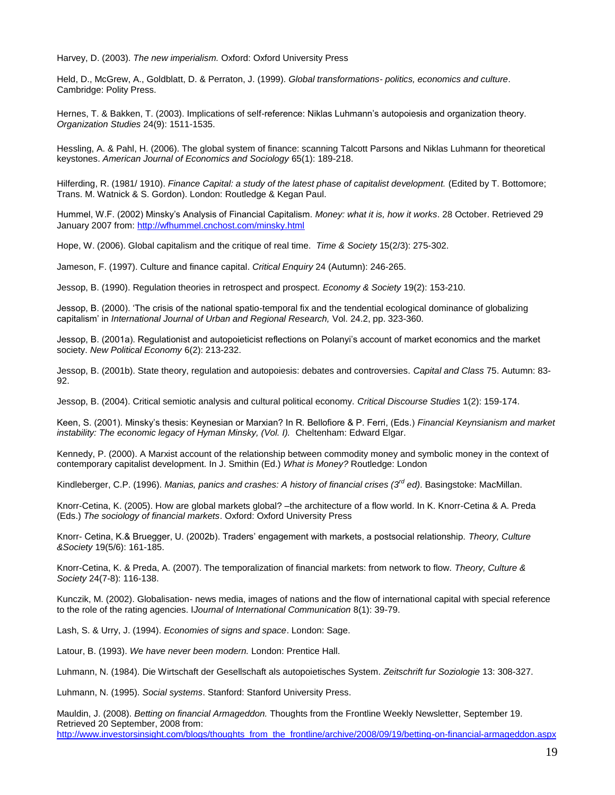Harvey, D. (2003). *The new imperialism.* Oxford: Oxford University Press

Held, D., McGrew, A., Goldblatt, D. & Perraton, J. (1999). *Global transformations- politics, economics and culture*. Cambridge: Polity Press.

Hernes, T. & Bakken, T. (2003). Implications of self-reference: Niklas Luhmann's autopoiesis and organization theory. *Organization Studies* 24(9): 1511-1535.

Hessling, A. & Pahl, H. (2006). The global system of finance: scanning Talcott Parsons and Niklas Luhmann for theoretical keystones. *American Journal of Economics and Sociology* 65(1): 189-218.

Hilferding, R. (1981/ 1910). *Finance Capital: a study of the latest phase of capitalist development.* (Edited by T. Bottomore; Trans. M. Watnick & S. Gordon). London: Routledge & Kegan Paul.

Hummel, W.F. (2002) Minsky's Analysis of Financial Capitalism. *Money: what it is, how it works*. 28 October. Retrieved 29 January 2007 from[: http://wfhummel.cnchost.com/minsky.html](http://wfhummel.cnchost.com/minsky.html)

Hope, W. (2006). Global capitalism and the critique of real time. *Time & Society* 15(2/3): 275-302.

Jameson, F. (1997). Culture and finance capital. *Critical Enquiry* 24 (Autumn): 246-265.

Jessop, B. (1990). Regulation theories in retrospect and prospect. *Economy & Society* 19(2): 153-210.

Jessop, B. (2000). 'The crisis of the national spatio-temporal fix and the tendential ecological dominance of globalizing capitalism' in *International Journal of Urban and Regional Research,* Vol. 24.2, pp. 323-360.

Jessop, B. (2001a). Regulationist and autopoieticist reflections on Polanyi's account of market economics and the market society. *New Political Economy* 6(2): 213-232.

Jessop, B. (2001b). State theory, regulation and autopoiesis: debates and controversies. *Capital and Class* 75. Autumn: 83- 92.

Jessop, B. (2004). Critical semiotic analysis and cultural political economy. *Critical Discourse Studies* 1(2): 159-174.

Keen, S. (2001). Minsky's thesis: Keynesian or Marxian? In R. Bellofiore & P. Ferri, (Eds.) *Financial Keynsianism and market instability: The economic legacy of Hyman Minsky, (Vol. I).* Cheltenham: Edward Elgar.

Kennedy, P. (2000). A Marxist account of the relationship between commodity money and symbolic money in the context of contemporary capitalist development. In J. Smithin (Ed.) *What is Money?* Routledge: London

Kindleberger, C.P. (1996). *Manias, panics and crashes: A history of financial crises (3rd ed)*. Basingstoke: MacMillan.

Knorr-Cetina, K. (2005). How are global markets global? –the architecture of a flow world. In K. Knorr-Cetina & A. Preda (Eds.) *The sociology of financial markets*. Oxford: Oxford University Press

Knorr- Cetina, K.& Bruegger, U. (2002b). Traders' engagement with markets, a postsocial relationship. *Theory, Culture &Society* 19(5/6): 161-185.

Knorr-Cetina, K. & Preda, A. (2007). The temporalization of financial markets: from network to flow. *Theory, Culture & Society* 24(7-8): 116-138.

Kunczik, M. (2002). Globalisation- news media, images of nations and the flow of international capital with special reference to the role of the rating agencies. I*Journal of International Communication* 8(1): 39-79.

Lash, S. & Urry, J. (1994). *Economies of signs and space*. London: Sage.

Latour, B. (1993). *We have never been modern.* London: Prentice Hall.

Luhmann, N. (1984). Die Wirtschaft der Gesellschaft als autopoietisches System. *Zeitschrift fur Soziologie* 13: 308-327.

Luhmann, N. (1995). *Social systems*. Stanford: Stanford University Press.

Mauldin, J. (2008). *Betting on financial Armageddon.* Thoughts from the Frontline Weekly Newsletter, September 19. Retrieved 20 September, 2008 from: [http://www.investorsinsight.com/blogs/thoughts\\_from\\_the\\_frontline/archive/2008/09/19/betting-on-financial-armageddon.aspx](http://www.investorsinsight.com/blogs/thoughts_from_the_frontline/archive/2008/09/19/betting-on-financial-armageddon.aspx)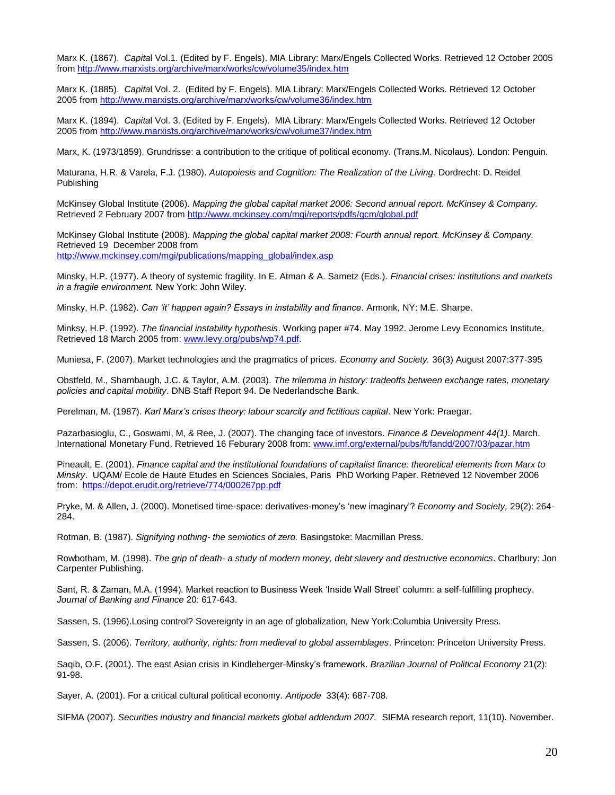Marx K. (1867). *Capita*l Vol.1. (Edited by F. Engels). MIA Library: Marx/Engels Collected Works. Retrieved 12 October 2005 from<http://www.marxists.org/archive/marx/works/cw/volume35/index.htm>

Marx K. (1885). *Capita*l Vol. 2. (Edited by F. Engels). MIA Library: Marx/Engels Collected Works. Retrieved 12 October 2005 fro[m http://www.marxists.org/archive/marx/works/cw/volume36/index.htm](http://www.marxists.org/archive/marx/works/cw/volume36/index.htm)

Marx K. (1894). *Capita*l Vol. 3. (Edited by F. Engels). MIA Library: Marx/Engels Collected Works. Retrieved 12 October 2005 fro[m http://www.marxists.org/archive/marx/works/cw/volume37/index.htm](http://www.marxists.org/archive/marx/works/cw/volume37/index.htm)

Marx, K. (1973/1859). Grundrisse: a contribution to the critique of political economy. (Trans.M. Nicolaus). London: Penguin.

Maturana, H.R. & Varela, F.J. (1980). *Autopoiesis and Cognition: The Realization of the Living.* Dordrecht: D. Reidel Publishing

McKinsey Global Institute (2006). *Mapping the global capital market 2006: Second annual report. McKinsey & Company.* Retrieved 2 February 2007 from<http://www.mckinsey.com/mgi/reports/pdfs/gcm/global.pdf>

McKinsey Global Institute (2008). *Mapping the global capital market 2008: Fourth annual report. McKinsey & Company.* Retrieved 19 December 2008 from [http://www.mckinsey.com/mgi/publications/mapping\\_global/index.asp](http://www.mckinsey.com/mgi/publications/mapping_global/index.asp)

Minsky, H.P. (1977). A theory of systemic fragility. In E. Atman & A. Sametz (Eds.). *Financial crises: institutions and markets in a fragile environment.* New York: John Wiley.

Minsky, H.P. (1982). *Can 'it' happen again? Essays in instability and finance*. Armonk, NY: M.E. Sharpe.

Minksy, H.P. (1992). *The financial instability hypothesis*. Working paper #74. May 1992. Jerome Levy Economics Institute. Retrieved 18 March 2005 from: [www.levy.org/pubs/wp74.pdf.](http://www.levy.org/pubs/wp74.pdf)

Muniesa, F. (2007). Market technologies and the pragmatics of prices. *Economy and Society.* 36(3) August 2007:377-395

Obstfeld, M., Shambaugh, J.C. & Taylor, A.M. (2003). *The trilemma in history: tradeoffs between exchange rates, monetary policies and capital mobility*. DNB Staff Report 94. De Nederlandsche Bank.

Perelman, M. (1987). *Karl Marx's crises theory: labour scarcity and fictitious capital*. New York: Praegar.

Pazarbasioglu, C., Goswami, M, & Ree, J. (2007). The changing face of investors*. Finance & Development 44(1)*. March. International Monetary Fund. Retrieved 16 Feburary 2008 from: [www.imf.org/external/pubs/ft/fandd/2007/03/pazar.htm](http://www.imf.org/external/pubs/ft/fandd/2007/03/pazar.htm)

Pineault, E. (2001). *Finance capital and the institutional foundations of capitalist finance: theoretical elements from Marx to Minsky*. UQAM/ Ecole de Haute Etudes en Sciences Sociales, Paris PhD Working Paper. Retrieved 12 November 2006 from: <https://depot.erudit.org/retrieve/774/000267pp.pdf>

Pryke, M. & Allen, J. (2000). Monetised time-space: derivatives-money's 'new imaginary'? *Economy and Society,* 29(2): 264- 284.

Rotman, B. (1987). *Signifying nothing- the semiotics of zero.* Basingstoke: Macmillan Press.

Rowbotham, M. (1998). *The grip of death- a study of modern money, debt slavery and destructive economics*. Charlbury: Jon Carpenter Publishing.

Sant, R. & Zaman, M.A. (1994). Market reaction to Business Week 'Inside Wall Street' column: a self-fulfilling prophecy. *Journal of Banking and Finance* 20: 617-643.

Sassen, S. (1996).Losing control? Sovereignty in an age of globalization*,* New York:Columbia University Press.

Sassen, S. (2006). *Territory, authority, rights: from medieval to global assemblages*. Princeton: Princeton University Press.

Saqib, O.F. (2001). The east Asian crisis in Kindleberger-Minsky's framework. *Brazilian Journal of Political Economy* 21(2): 91-98.

Sayer, A. (2001). For a critical cultural political economy. *Antipode* 33(4): 687-708.

SIFMA (2007). *Securities industry and financial markets global addendum 2007.* SIFMA research report, 11(10)*.* November.